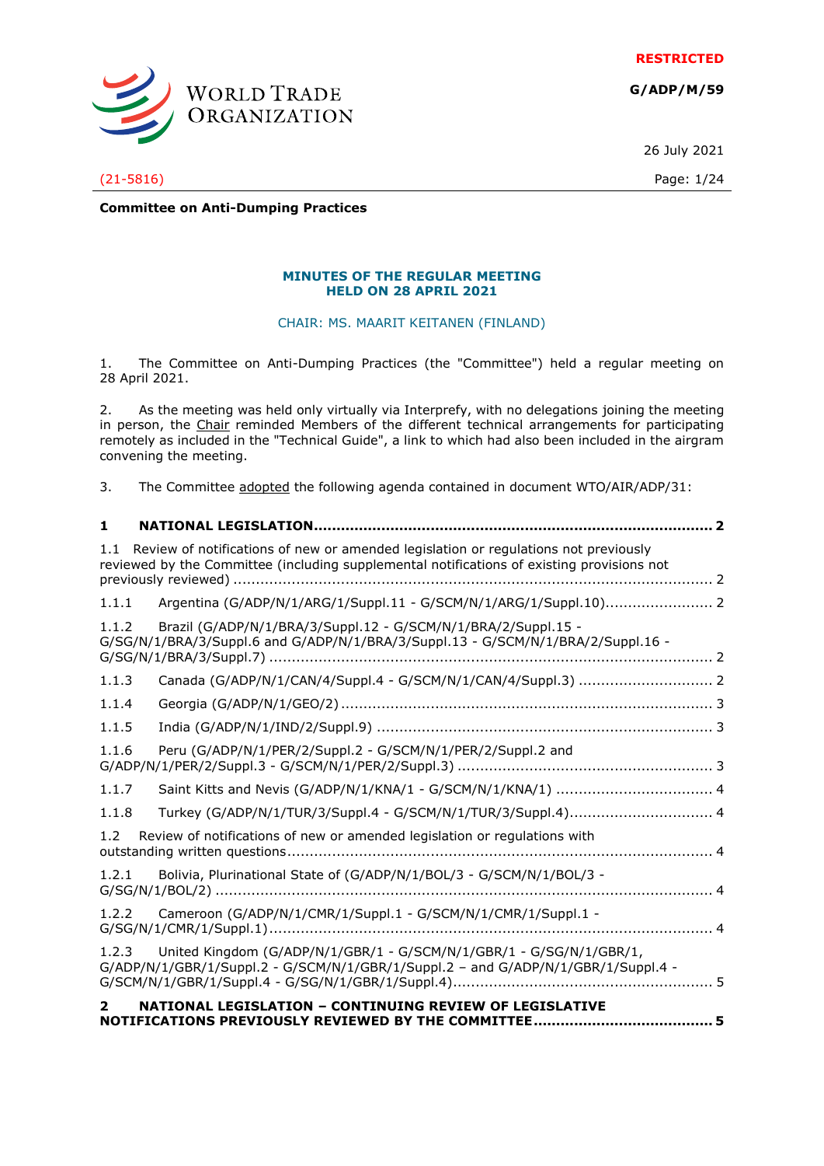**RESTRICTED**

**G/ADP/M/59**



(21-5816) Page: 1/24

26 July 2021

**Committee on Anti-Dumping Practices**

#### **MINUTES OF THE REGULAR MEETING HELD ON 28 APRIL 2021**

CHAIR: MS. MAARIT KEITANEN (FINLAND)

1. The Committee on Anti-Dumping Practices (the "Committee") held a regular meeting on 28 April 2021.

2. As the meeting was held only virtually via Interprefy, with no delegations joining the meeting in person, the Chair reminded Members of the different technical arrangements for participating remotely as included in the "Technical Guide", a link to which had also been included in the airgram convening the meeting.

3. The Committee adopted the following agenda contained in document WTO/AIR/ADP/31:

| 1     | <b>NATIONAL LEGISLATION</b><br>. 2                                                                                                                                                |     |
|-------|-----------------------------------------------------------------------------------------------------------------------------------------------------------------------------------|-----|
| 1.1   | Review of notifications of new or amended legislation or regulations not previously<br>reviewed by the Committee (including supplemental notifications of existing provisions not |     |
| 1.1.1 |                                                                                                                                                                                   |     |
| 1.1.2 | Brazil (G/ADP/N/1/BRA/3/Suppl.12 - G/SCM/N/1/BRA/2/Suppl.15 -<br>G/SG/N/1/BRA/3/Suppl.6 and G/ADP/N/1/BRA/3/Suppl.13 - G/SCM/N/1/BRA/2/Suppl.16 -                                 |     |
| 1.1.3 |                                                                                                                                                                                   |     |
| 1.1.4 |                                                                                                                                                                                   |     |
| 1.1.5 |                                                                                                                                                                                   |     |
| 1.1.6 | Peru (G/ADP/N/1/PER/2/Suppl.2 - G/SCM/N/1/PER/2/Suppl.2 and                                                                                                                       |     |
| 1.1.7 |                                                                                                                                                                                   |     |
| 1.1.8 | Turkey (G/ADP/N/1/TUR/3/Suppl.4 - G/SCM/N/1/TUR/3/Suppl.4) 4                                                                                                                      |     |
| 1.2   | Review of notifications of new or amended legislation or regulations with                                                                                                         |     |
| 1.2.1 | Bolivia, Plurinational State of (G/ADP/N/1/BOL/3 - G/SCM/N/1/BOL/3 -                                                                                                              |     |
| 1.2.2 | Cameroon (G/ADP/N/1/CMR/1/Suppl.1 - G/SCM/N/1/CMR/1/Suppl.1 -                                                                                                                     |     |
| 1.2.3 | United Kingdom (G/ADP/N/1/GBR/1 - G/SCM/N/1/GBR/1 - G/SG/N/1/GBR/1,<br>G/ADP/N/1/GBR/1/Suppl.2 - G/SCM/N/1/GBR/1/Suppl.2 - and G/ADP/N/1/GBR/1/Suppl.4 -                          |     |
| 2     | NATIONAL LEGISLATION - CONTINUING REVIEW OF LEGISLATIVE                                                                                                                           | . 5 |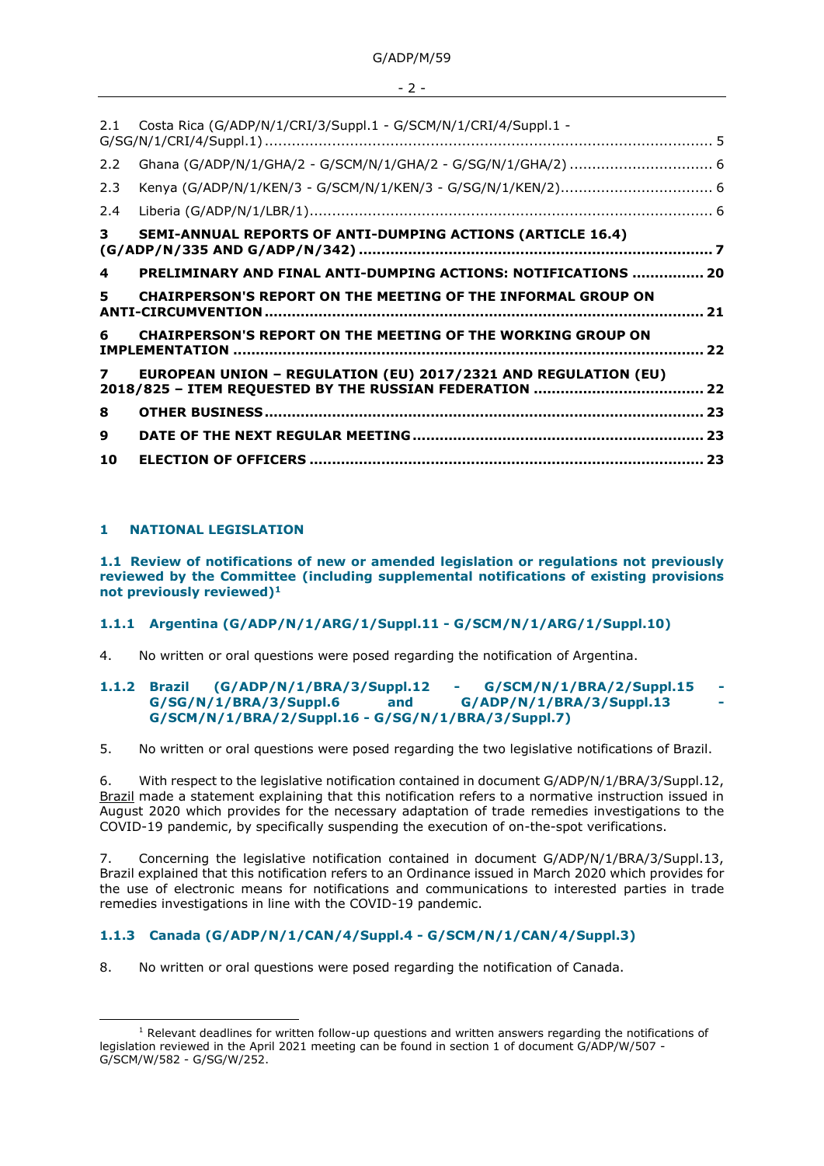| 2.1          | Costa Rica (G/ADP/N/1/CRI/3/Suppl.1 - G/SCM/N/1/CRI/4/Suppl.1 -       |    |
|--------------|-----------------------------------------------------------------------|----|
| 2.2          | Ghana (G/ADP/N/1/GHA/2 - G/SCM/N/1/GHA/2 - G/SG/N/1/GHA/2)  6         |    |
| 2.3          |                                                                       |    |
| 2.4          |                                                                       |    |
| 3            | <b>SEMI-ANNUAL REPORTS OF ANTI-DUMPING ACTIONS (ARTICLE 16.4)</b>     |    |
| 4            | PRELIMINARY AND FINAL ANTI-DUMPING ACTIONS: NOTIFICATIONS  20         |    |
| 5.           | <b>CHAIRPERSON'S REPORT ON THE MEETING OF THE INFORMAL GROUP ON</b>   | 21 |
| 6            | CHAIRPERSON'S REPORT ON THE MEETING OF THE WORKING GROUP ON           |    |
|              |                                                                       |    |
| $\mathbf{z}$ | <b>EUROPEAN UNION - REGULATION (EU) 2017/2321 AND REGULATION (EU)</b> |    |
| 8            |                                                                       |    |
| 9            |                                                                       |    |
| 10           |                                                                       |    |

## <span id="page-1-0"></span>**1 NATIONAL LEGISLATION**

<span id="page-1-1"></span>**1.1 Review of notifications of new or amended legislation or regulations not previously reviewed by the Committee (including supplemental notifications of existing provisions not previously reviewed)<sup>1</sup>**

# <span id="page-1-2"></span>**1.1.1 Argentina (G/ADP/N/1/ARG/1/Suppl.11 - G/SCM/N/1/ARG/1/Suppl.10)**

4. No written or oral questions were posed regarding the notification of Argentina.

### <span id="page-1-3"></span>**1.1.2 Brazil (G/ADP/N/1/BRA/3/Suppl.12 - G/SCM/N/1/BRA/2/Suppl.15 -** G/SG/N/1/BRA/3/Suppl.6 and G/ADP/N/1/BRA/3/Suppl.13 **G/SCM/N/1/BRA/2/Suppl.16 - G/SG/N/1/BRA/3/Suppl.7)**

5. No written or oral questions were posed regarding the two legislative notifications of Brazil.

6. With respect to the legislative notification contained in document G/ADP/N/1/BRA/3/Suppl.12, Brazil made a statement explaining that this notification refers to a normative instruction issued in August 2020 which provides for the necessary adaptation of trade remedies investigations to the COVID-19 pandemic, by specifically suspending the execution of on-the-spot verifications.

7. Concerning the legislative notification contained in document G/ADP/N/1/BRA/3/Suppl.13, Brazil explained that this notification refers to an Ordinance issued in March 2020 which provides for the use of electronic means for notifications and communications to interested parties in trade remedies investigations in line with the COVID-19 pandemic.

# <span id="page-1-4"></span>**1.1.3 Canada (G/ADP/N/1/CAN/4/Suppl.4 - G/SCM/N/1/CAN/4/Suppl.3)**

8. No written or oral questions were posed regarding the notification of Canada.

 $1$  Relevant deadlines for written follow-up questions and written answers regarding the notifications of legislation reviewed in the April 2021 meeting can be found in section 1 of document G/ADP/W/507 - G/SCM/W/582 - G/SG/W/252.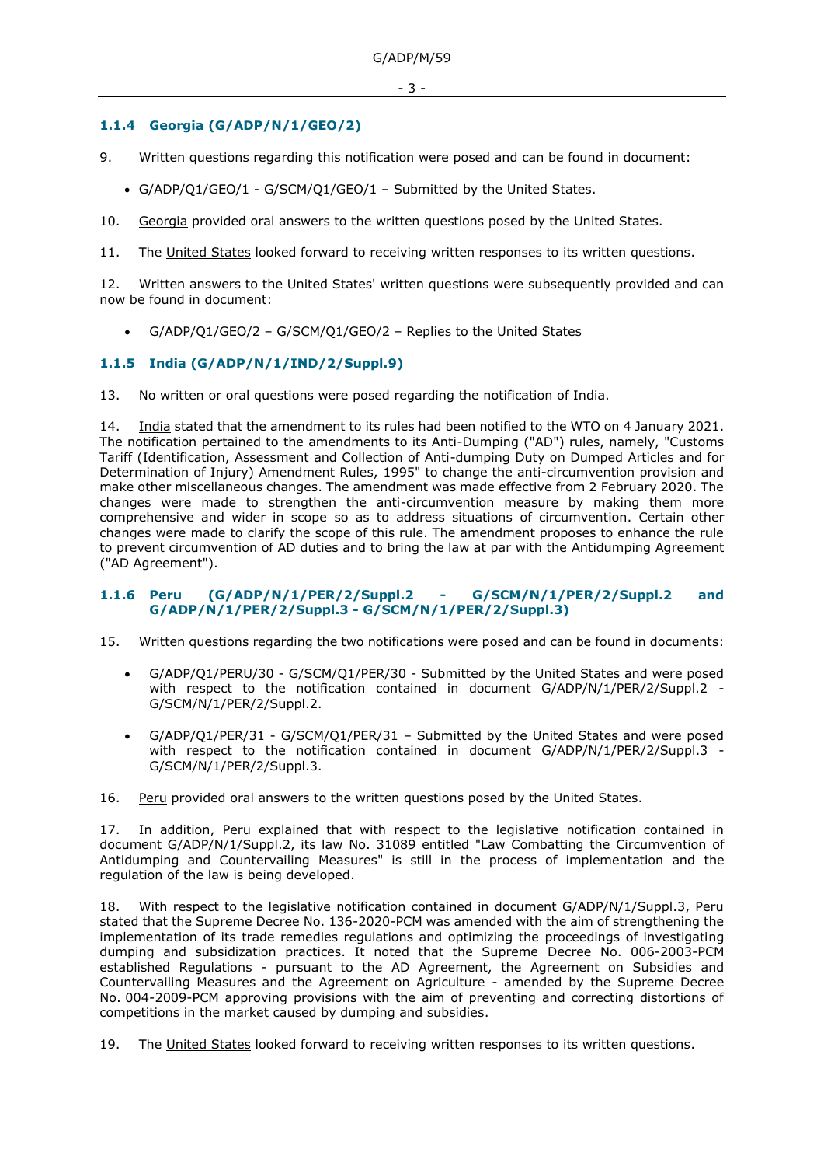# <span id="page-2-0"></span>**1.1.4 Georgia (G/ADP/N/1/GEO/2)**

- 9. Written questions regarding this notification were posed and can be found in document:
	- G/ADP/Q1/GEO/1 G/SCM/Q1/GEO/1 Submitted by the United States.
- 10. Georgia provided oral answers to the written questions posed by the United States.

11. The United States looked forward to receiving written responses to its written questions.

12. Written answers to the United States' written questions were subsequently provided and can now be found in document:

• G/ADP/Q1/GEO/2 – G/SCM/Q1/GEO/2 – Replies to the United States

## <span id="page-2-1"></span>**1.1.5 India (G/ADP/N/1/IND/2/Suppl.9)**

13. No written or oral questions were posed regarding the notification of India.

14. India stated that the amendment to its rules had been notified to the WTO on 4 January 2021. The notification pertained to the amendments to its Anti-Dumping ("AD") rules, namely, "Customs Tariff (Identification, Assessment and Collection of Anti-dumping Duty on Dumped Articles and for Determination of Injury) Amendment Rules, 1995" to change the anti-circumvention provision and make other miscellaneous changes. The amendment was made effective from 2 February 2020. The changes were made to strengthen the anti-circumvention measure by making them more comprehensive and wider in scope so as to address situations of circumvention. Certain other changes were made to clarify the scope of this rule. The amendment proposes to enhance the rule to prevent circumvention of AD duties and to bring the law at par with the Antidumping Agreement ("AD Agreement").

### <span id="page-2-2"></span>**1.1.6 Peru (G/ADP/N/1/PER/2/Suppl.2 - G/SCM/N/1/PER/2/Suppl.2 and G/ADP/N/1/PER/2/Suppl.3 - G/SCM/N/1/PER/2/Suppl.3)**

- 15. Written questions regarding the two notifications were posed and can be found in documents:
	- G/ADP/Q1/PERU/30 G/SCM/Q1/PER/30 Submitted by the United States and were posed with respect to the notification contained in document G/ADP/N/1/PER/2/Suppl.2 -G/SCM/N/1/PER/2/Suppl.2.
	- G/ADP/Q1/PER/31 G/SCM/Q1/PER/31 Submitted by the United States and were posed with respect to the notification contained in document G/ADP/N/1/PER/2/Suppl.3 -G/SCM/N/1/PER/2/Suppl.3.

16. Peru provided oral answers to the written questions posed by the United States.

17. In addition, Peru explained that with respect to the legislative notification contained in document G/ADP/N/1/Suppl.2, its law No. 31089 entitled "Law Combatting the Circumvention of Antidumping and Countervailing Measures" is still in the process of implementation and the regulation of the law is being developed.

18. With respect to the legislative notification contained in document G/ADP/N/1/Suppl.3, Peru stated that the Supreme Decree No. 136-2020-PCM was amended with the aim of strengthening the implementation of its trade remedies regulations and optimizing the proceedings of investigating dumping and subsidization practices. It noted that the Supreme Decree No. 006-2003-PCM established Regulations - pursuant to the AD Agreement, the Agreement on Subsidies and Countervailing Measures and the Agreement on Agriculture - amended by the Supreme Decree No. 004-2009-PCM approving provisions with the aim of preventing and correcting distortions of competitions in the market caused by dumping and subsidies.

19. The United States looked forward to receiving written responses to its written questions.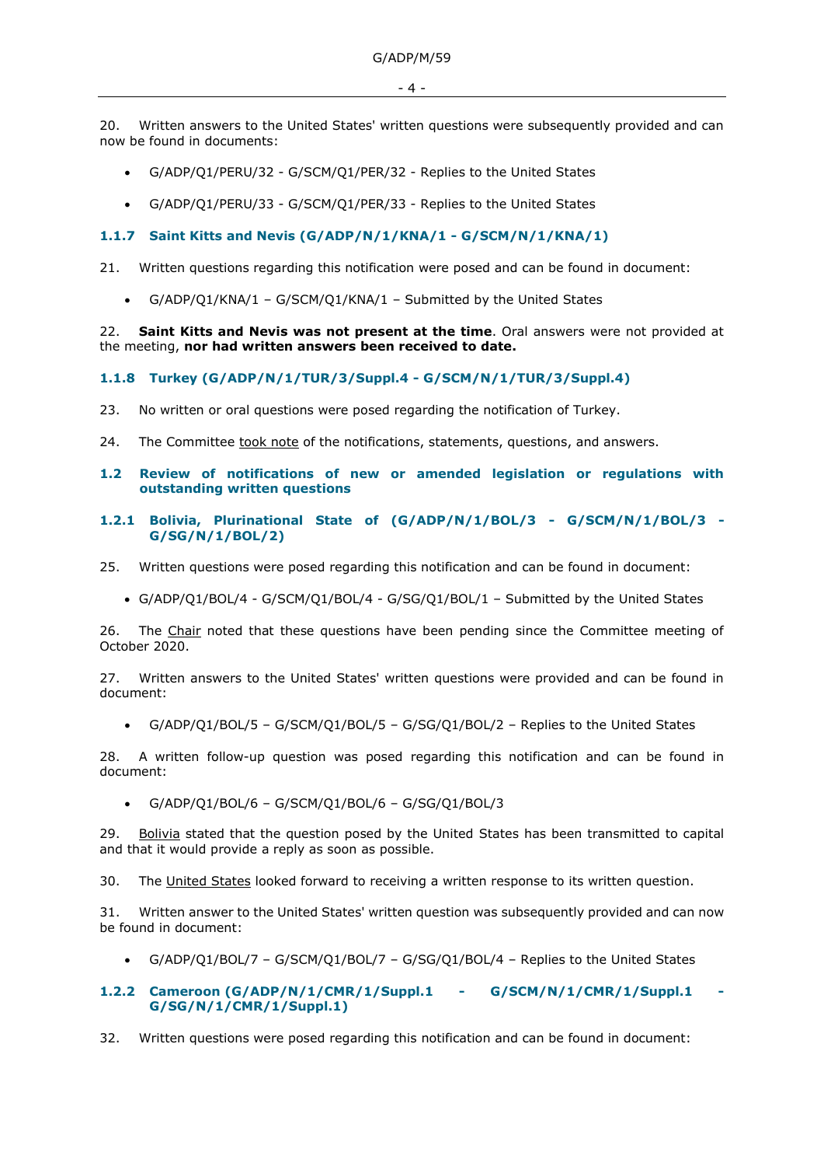20. Written answers to the United States' written questions were subsequently provided and can now be found in documents:

- G/ADP/Q1/PERU/32 G/SCM/Q1/PER/32 Replies to the United States
- G/ADP/Q1/PERU/33 G/SCM/Q1/PER/33 Replies to the United States

## <span id="page-3-0"></span>**1.1.7 Saint Kitts and Nevis (G/ADP/N/1/KNA/1 - G/SCM/N/1/KNA/1)**

- 21. Written questions regarding this notification were posed and can be found in document:
	- G/ADP/Q1/KNA/1 G/SCM/Q1/KNA/1 Submitted by the United States

22. **Saint Kitts and Nevis was not present at the time**. Oral answers were not provided at the meeting, **nor had written answers been received to date.** 

# <span id="page-3-1"></span>**1.1.8 Turkey (G/ADP/N/1/TUR/3/Suppl.4 - G/SCM/N/1/TUR/3/Suppl.4)**

- 23. No written or oral questions were posed regarding the notification of Turkey.
- 24. The Committee took note of the notifications, statements, questions, and answers.

### <span id="page-3-2"></span>**1.2 Review of notifications of new or amended legislation or regulations with outstanding written questions**

- <span id="page-3-3"></span>**1.2.1 Bolivia, Plurinational State of (G/ADP/N/1/BOL/3 - G/SCM/N/1/BOL/3 - G/SG/N/1/BOL/2)**
- 25. Written questions were posed regarding this notification and can be found in document:
	- G/ADP/Q1/BOL/4 G/SCM/Q1/BOL/4 G/SG/Q1/BOL/1 Submitted by the United States

26. The Chair noted that these questions have been pending since the Committee meeting of October 2020.

27. Written answers to the United States' written questions were provided and can be found in document:

• G/ADP/Q1/BOL/5 – G/SCM/Q1/BOL/5 – G/SG/Q1/BOL/2 – Replies to the United States

28. A written follow-up question was posed regarding this notification and can be found in document:

• G/ADP/Q1/BOL/6 – G/SCM/Q1/BOL/6 – G/SG/Q1/BOL/3

29. Bolivia stated that the question posed by the United States has been transmitted to capital and that it would provide a reply as soon as possible.

30. The United States looked forward to receiving a written response to its written question.

31. Written answer to the United States' written question was subsequently provided and can now be found in document:

• G/ADP/Q1/BOL/7 – G/SCM/Q1/BOL/7 – G/SG/Q1/BOL/4 – Replies to the United States

## <span id="page-3-4"></span>**1.2.2 Cameroon (G/ADP/N/1/CMR/1/Suppl.1 - G/SCM/N/1/CMR/1/Suppl.1 - G/SG/N/1/CMR/1/Suppl.1)**

32. Written questions were posed regarding this notification and can be found in document: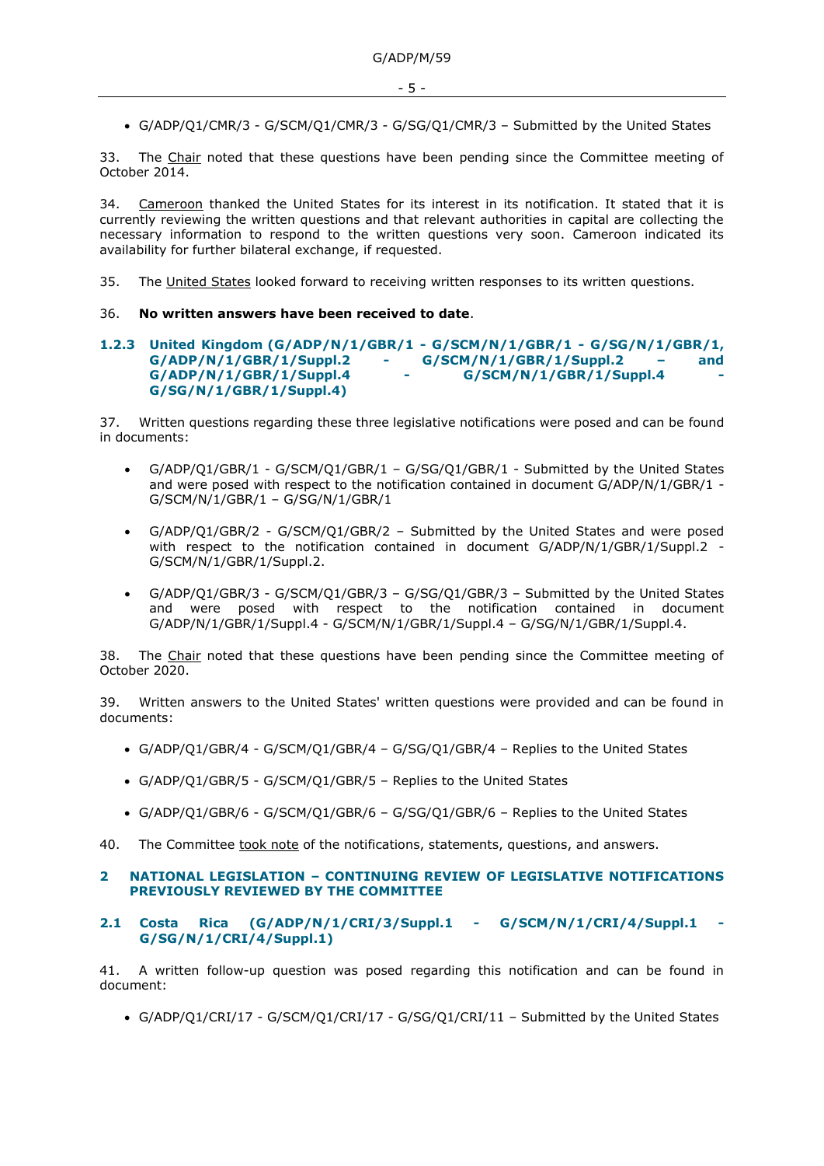• G/ADP/Q1/CMR/3 - G/SCM/Q1/CMR/3 - G/SG/Q1/CMR/3 – Submitted by the United States

33. The Chair noted that these questions have been pending since the Committee meeting of October 2014.

34. Cameroon thanked the United States for its interest in its notification. It stated that it is currently reviewing the written questions and that relevant authorities in capital are collecting the necessary information to respond to the written questions very soon. Cameroon indicated its availability for further bilateral exchange, if requested.

35. The United States looked forward to receiving written responses to its written questions.

## 36. **No written answers have been received to date**.

#### <span id="page-4-0"></span>**1.2.3 United Kingdom (G/ADP/N/1/GBR/1 - G/SCM/N/1/GBR/1 - G/SG/N/1/GBR/1, G/ADP/N/1/GBR/1/Suppl.2 - G/SCM/N/1/GBR/1/Suppl.2 – and G/ADP/N/1/GBR/1/Suppl.4 - G/SCM/N/1/GBR/1/Suppl.4 - G/SG/N/1/GBR/1/Suppl.4)**

37. Written questions regarding these three legislative notifications were posed and can be found in documents:

- G/ADP/Q1/GBR/1 G/SCM/Q1/GBR/1 G/SG/Q1/GBR/1 Submitted by the United States and were posed with respect to the notification contained in document G/ADP/N/1/GBR/1 -G/SCM/N/1/GBR/1 – G/SG/N/1/GBR/1
- G/ADP/Q1/GBR/2 G/SCM/Q1/GBR/2 Submitted by the United States and were posed with respect to the notification contained in document G/ADP/N/1/GBR/1/Suppl.2 -G/SCM/N/1/GBR/1/Suppl.2.
- G/ADP/Q1/GBR/3 G/SCM/Q1/GBR/3 G/SG/Q1/GBR/3 Submitted by the United States and were posed with respect to the notification contained in document G/ADP/N/1/GBR/1/Suppl.4 - G/SCM/N/1/GBR/1/Suppl.4 – G/SG/N/1/GBR/1/Suppl.4.

38. The Chair noted that these questions have been pending since the Committee meeting of October 2020.

39. Written answers to the United States' written questions were provided and can be found in documents:

- G/ADP/Q1/GBR/4 G/SCM/Q1/GBR/4 G/SG/Q1/GBR/4 Replies to the United States
- G/ADP/Q1/GBR/5 G/SCM/Q1/GBR/5 Replies to the United States
- G/ADP/Q1/GBR/6 G/SCM/Q1/GBR/6 G/SG/Q1/GBR/6 Replies to the United States

40. The Committee took note of the notifications, statements, questions, and answers.

### <span id="page-4-1"></span>**2 NATIONAL LEGISLATION – CONTINUING REVIEW OF LEGISLATIVE NOTIFICATIONS PREVIOUSLY REVIEWED BY THE COMMITTEE**

### <span id="page-4-2"></span>**2.1 Costa Rica (G/ADP/N/1/CRI/3/Suppl.1 - G/SCM/N/1/CRI/4/Suppl.1 - G/SG/N/1/CRI/4/Suppl.1)**

41. A written follow-up question was posed regarding this notification and can be found in document:

• G/ADP/Q1/CRI/17 - G/SCM/Q1/CRI/17 - G/SG/Q1/CRI/11 – Submitted by the United States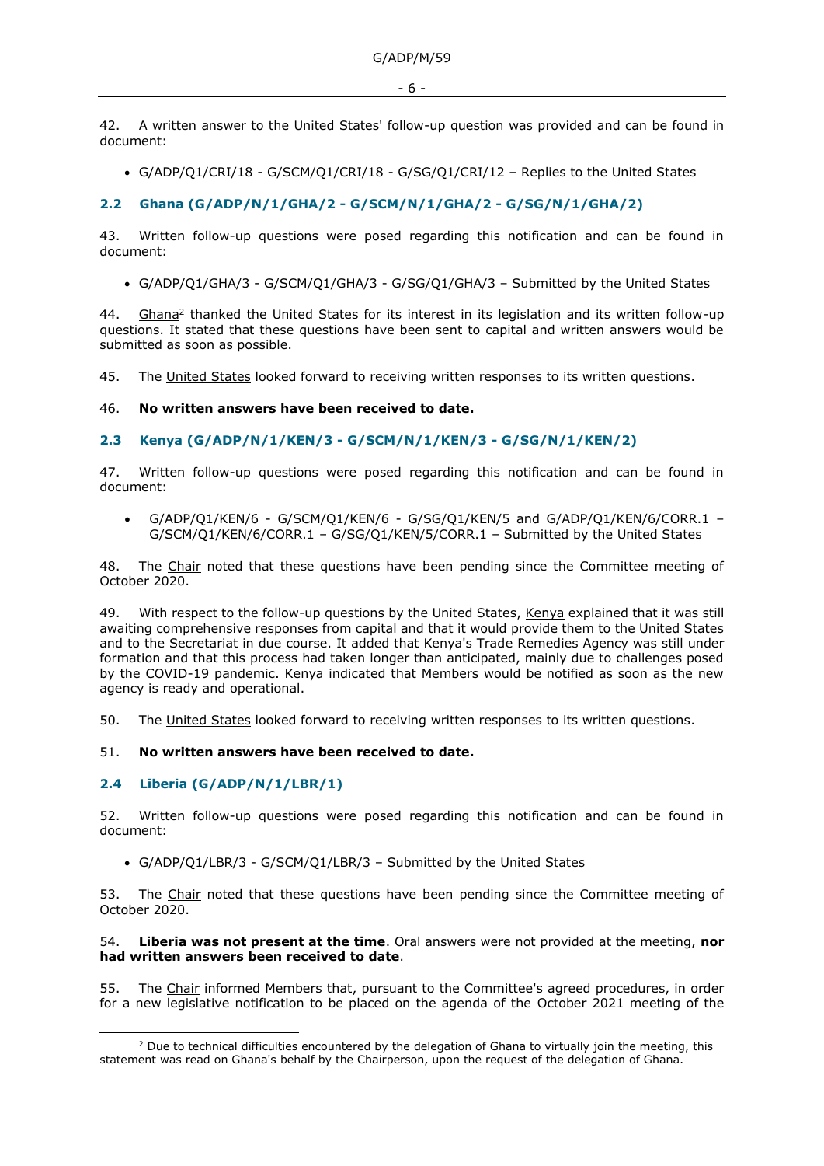42. A written answer to the United States' follow-up question was provided and can be found in document:

• G/ADP/Q1/CRI/18 - G/SCM/Q1/CRI/18 - G/SG/Q1/CRI/12 – Replies to the United States

### <span id="page-5-0"></span>**2.2 Ghana (G/ADP/N/1/GHA/2 - G/SCM/N/1/GHA/2 - G/SG/N/1/GHA/2)**

43. Written follow-up questions were posed regarding this notification and can be found in document:

• G/ADP/Q1/GHA/3 - G/SCM/Q1/GHA/3 - G/SG/Q1/GHA/3 – Submitted by the United States

44. Ghana<sup>2</sup> thanked the United States for its interest in its legislation and its written follow-up questions. It stated that these questions have been sent to capital and written answers would be submitted as soon as possible.

45. The United States looked forward to receiving written responses to its written questions.

46. **No written answers have been received to date.**

#### <span id="page-5-1"></span>**2.3 Kenya (G/ADP/N/1/KEN/3 - G/SCM/N/1/KEN/3 - G/SG/N/1/KEN/2)**

47. Written follow-up questions were posed regarding this notification and can be found in document:

• G/ADP/Q1/KEN/6 - G/SCM/Q1/KEN/6 - G/SG/Q1/KEN/5 and G/ADP/Q1/KEN/6/CORR.1 – G/SCM/Q1/KEN/6/CORR.1 – G/SG/Q1/KEN/5/CORR.1 – Submitted by the United States

48. The Chair noted that these questions have been pending since the Committee meeting of October 2020.

49. With respect to the follow-up questions by the United States, Kenya explained that it was still awaiting comprehensive responses from capital and that it would provide them to the United States and to the Secretariat in due course. It added that Kenya's Trade Remedies Agency was still under formation and that this process had taken longer than anticipated, mainly due to challenges posed by the COVID-19 pandemic. Kenya indicated that Members would be notified as soon as the new agency is ready and operational.

50. The United States looked forward to receiving written responses to its written questions.

#### 51. **No written answers have been received to date.**

### <span id="page-5-2"></span>**2.4 Liberia (G/ADP/N/1/LBR/1)**

52. Written follow-up questions were posed regarding this notification and can be found in document:

• G/ADP/Q1/LBR/3 - G/SCM/Q1/LBR/3 – Submitted by the United States

53. The Chair noted that these questions have been pending since the Committee meeting of October 2020.

#### 54. **Liberia was not present at the time**. Oral answers were not provided at the meeting, **nor had written answers been received to date**.

55. The Chair informed Members that, pursuant to the Committee's agreed procedures, in order for a new legislative notification to be placed on the agenda of the October 2021 meeting of the

 $<sup>2</sup>$  Due to technical difficulties encountered by the delegation of Ghana to virtually join the meeting, this</sup> statement was read on Ghana's behalf by the Chairperson, upon the request of the delegation of Ghana.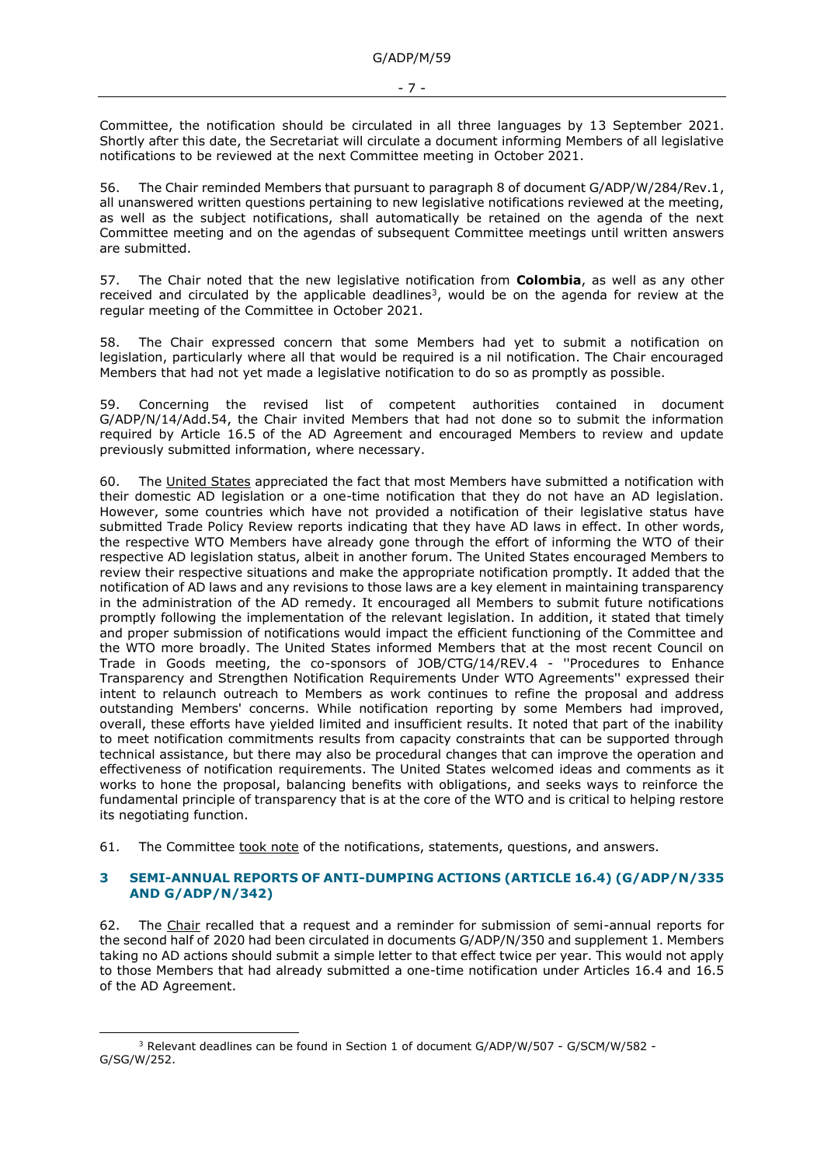Committee, the notification should be circulated in all three languages by 13 September 2021. Shortly after this date, the Secretariat will circulate a document informing Members of all legislative notifications to be reviewed at the next Committee meeting in October 2021.

56. The Chair reminded Members that pursuant to paragraph 8 of document G/ADP/W/284/Rev.1, all unanswered written questions pertaining to new legislative notifications reviewed at the meeting, as well as the subject notifications, shall automatically be retained on the agenda of the next Committee meeting and on the agendas of subsequent Committee meetings until written answers are submitted.

57. The Chair noted that the new legislative notification from **Colombia**, as well as any other received and circulated by the applicable deadlines<sup>3</sup>, would be on the agenda for review at the regular meeting of the Committee in October 2021.

The Chair expressed concern that some Members had yet to submit a notification on legislation, particularly where all that would be required is a nil notification. The Chair encouraged Members that had not yet made a legislative notification to do so as promptly as possible.

59. Concerning the revised list of competent authorities contained in document G/ADP/N/14/Add.54, the Chair invited Members that had not done so to submit the information required by Article 16.5 of the AD Agreement and encouraged Members to review and update previously submitted information, where necessary.

60. The United States appreciated the fact that most Members have submitted a notification with their domestic AD legislation or a one-time notification that they do not have an AD legislation. However, some countries which have not provided a notification of their legislative status have submitted Trade Policy Review reports indicating that they have AD laws in effect. In other words, the respective WTO Members have already gone through the effort of informing the WTO of their respective AD legislation status, albeit in another forum. The United States encouraged Members to review their respective situations and make the appropriate notification promptly. It added that the notification of AD laws and any revisions to those laws are a key element in maintaining transparency in the administration of the AD remedy. It encouraged all Members to submit future notifications promptly following the implementation of the relevant legislation. In addition, it stated that timely and proper submission of notifications would impact the efficient functioning of the Committee and the WTO more broadly. The United States informed Members that at the most recent Council on Trade in Goods meeting, the co-sponsors of JOB/CTG/14/REV.4 - ''Procedures to Enhance Transparency and Strengthen Notification Requirements Under WTO Agreements'' expressed their intent to relaunch outreach to Members as work continues to refine the proposal and address outstanding Members' concerns. While notification reporting by some Members had improved, overall, these efforts have yielded limited and insufficient results. It noted that part of the inability to meet notification commitments results from capacity constraints that can be supported through technical assistance, but there may also be procedural changes that can improve the operation and effectiveness of notification requirements. The United States welcomed ideas and comments as it works to hone the proposal, balancing benefits with obligations, and seeks ways to reinforce the fundamental principle of transparency that is at the core of the WTO and is critical to helping restore its negotiating function.

61. The Committee took note of the notifications, statements, questions, and answers.

## <span id="page-6-0"></span>**3 SEMI-ANNUAL REPORTS OF ANTI-DUMPING ACTIONS (ARTICLE 16.4) (G/ADP/N/335 AND G/ADP/N/342)**

62. The Chair recalled that a request and a reminder for submission of semi-annual reports for the second half of 2020 had been circulated in documents G/ADP/N/350 and supplement 1. Members taking no AD actions should submit a simple letter to that effect twice per year. This would not apply to those Members that had already submitted a one-time notification under Articles 16.4 and 16.5 of the AD Agreement.

<sup>&</sup>lt;sup>3</sup> Relevant deadlines can be found in Section 1 of document G/ADP/W/507 - G/SCM/W/582 -G/SG/W/252.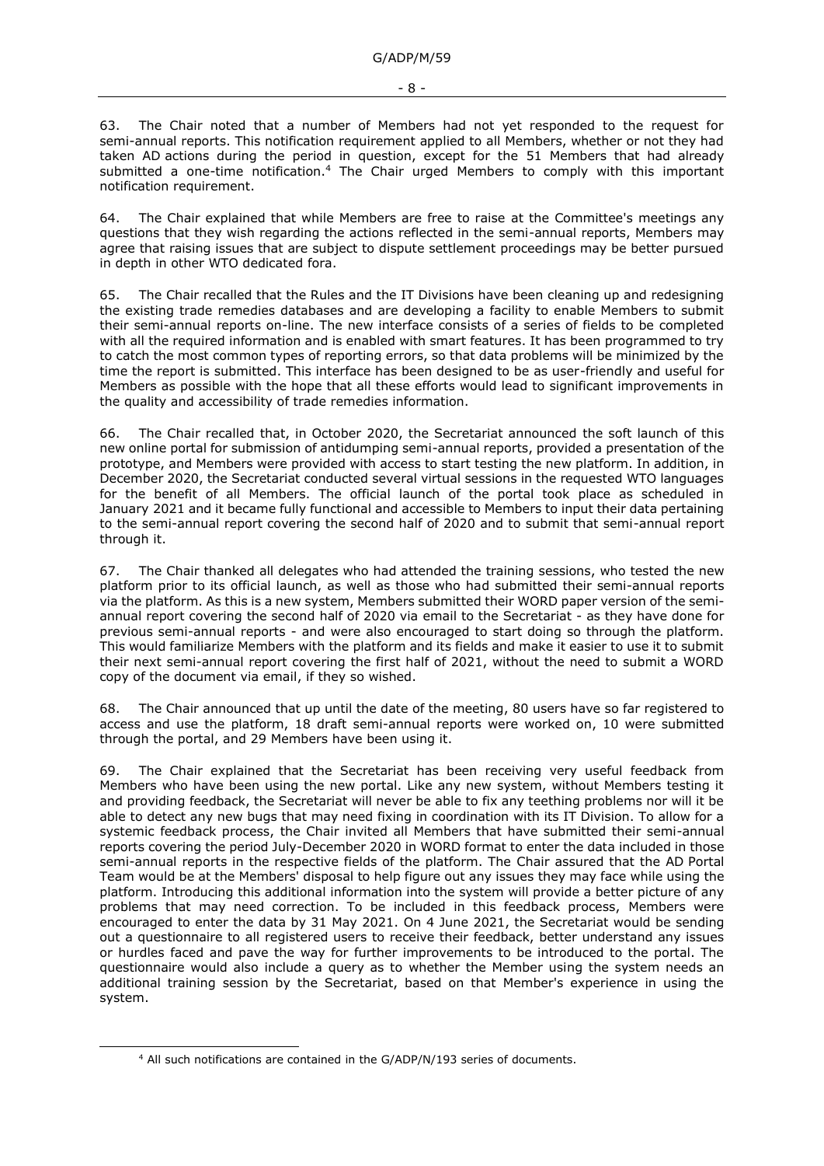63. The Chair noted that a number of Members had not yet responded to the request for semi-annual reports. This notification requirement applied to all Members, whether or not they had taken AD actions during the period in question, except for the 51 Members that had already submitted a one-time notification.<sup>4</sup> The Chair urged Members to comply with this important notification requirement.

The Chair explained that while Members are free to raise at the Committee's meetings any questions that they wish regarding the actions reflected in the semi-annual reports, Members may agree that raising issues that are subject to dispute settlement proceedings may be better pursued in depth in other WTO dedicated fora.

65. The Chair recalled that the Rules and the IT Divisions have been cleaning up and redesigning the existing trade remedies databases and are developing a facility to enable Members to submit their semi-annual reports on-line. The new interface consists of a series of fields to be completed with all the required information and is enabled with smart features. It has been programmed to try to catch the most common types of reporting errors, so that data problems will be minimized by the time the report is submitted. This interface has been designed to be as user-friendly and useful for Members as possible with the hope that all these efforts would lead to significant improvements in the quality and accessibility of trade remedies information.

66. The Chair recalled that, in October 2020, the Secretariat announced the soft launch of this new online portal for submission of antidumping semi-annual reports, provided a presentation of the prototype, and Members were provided with access to start testing the new platform. In addition, in December 2020, the Secretariat conducted several virtual sessions in the requested WTO languages for the benefit of all Members. The official launch of the portal took place as scheduled in January 2021 and it became fully functional and accessible to Members to input their data pertaining to the semi-annual report covering the second half of 2020 and to submit that semi-annual report through it.

67. The Chair thanked all delegates who had attended the training sessions, who tested the new platform prior to its official launch, as well as those who had submitted their semi-annual reports via the platform. As this is a new system, Members submitted their WORD paper version of the semiannual report covering the second half of 2020 via email to the Secretariat - as they have done for previous semi-annual reports - and were also encouraged to start doing so through the platform. This would familiarize Members with the platform and its fields and make it easier to use it to submit their next semi-annual report covering the first half of 2021, without the need to submit a WORD copy of the document via email, if they so wished.

68. The Chair announced that up until the date of the meeting, 80 users have so far registered to access and use the platform, 18 draft semi-annual reports were worked on, 10 were submitted through the portal, and 29 Members have been using it.

69. The Chair explained that the Secretariat has been receiving very useful feedback from Members who have been using the new portal. Like any new system, without Members testing it and providing feedback, the Secretariat will never be able to fix any teething problems nor will it be able to detect any new bugs that may need fixing in coordination with its IT Division. To allow for a systemic feedback process, the Chair invited all Members that have submitted their semi-annual reports covering the period July-December 2020 in WORD format to enter the data included in those semi-annual reports in the respective fields of the platform. The Chair assured that the AD Portal Team would be at the Members' disposal to help figure out any issues they may face while using the platform. Introducing this additional information into the system will provide a better picture of any problems that may need correction. To be included in this feedback process, Members were encouraged to enter the data by 31 May 2021. On 4 June 2021, the Secretariat would be sending out a questionnaire to all registered users to receive their feedback, better understand any issues or hurdles faced and pave the way for further improvements to be introduced to the portal. The questionnaire would also include a query as to whether the Member using the system needs an additional training session by the Secretariat, based on that Member's experience in using the system.

<sup>4</sup> All such notifications are contained in the G/ADP/N/193 series of documents.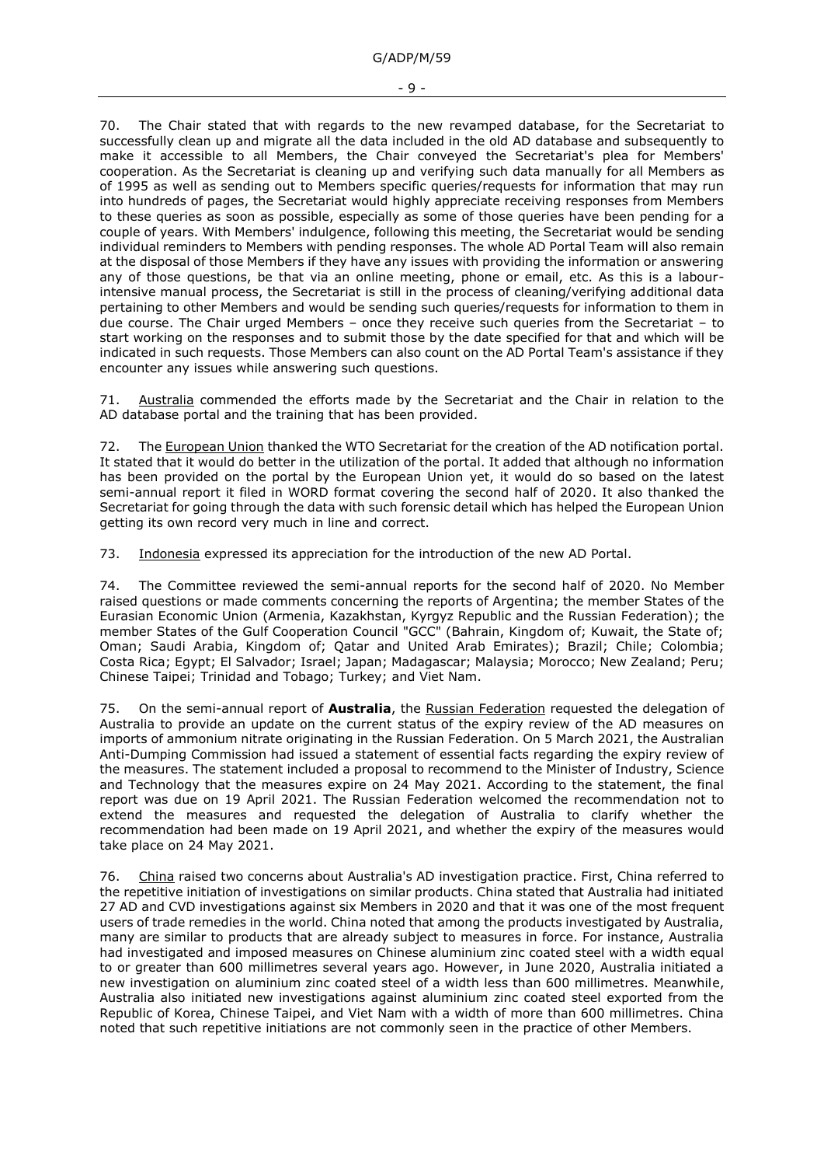70. The Chair stated that with regards to the new revamped database, for the Secretariat to successfully clean up and migrate all the data included in the old AD database and subsequently to make it accessible to all Members, the Chair conveyed the Secretariat's plea for Members' cooperation. As the Secretariat is cleaning up and verifying such data manually for all Members as of 1995 as well as sending out to Members specific queries/requests for information that may run into hundreds of pages, the Secretariat would highly appreciate receiving responses from Members to these queries as soon as possible, especially as some of those queries have been pending for a couple of years. With Members' indulgence, following this meeting, the Secretariat would be sending individual reminders to Members with pending responses. The whole AD Portal Team will also remain at the disposal of those Members if they have any issues with providing the information or answering any of those questions, be that via an online meeting, phone or email, etc. As this is a labourintensive manual process, the Secretariat is still in the process of cleaning/verifying additional data pertaining to other Members and would be sending such queries/requests for information to them in due course. The Chair urged Members – once they receive such queries from the Secretariat – to start working on the responses and to submit those by the date specified for that and which will be indicated in such requests. Those Members can also count on the AD Portal Team's assistance if they encounter any issues while answering such questions.

71. Australia commended the efforts made by the Secretariat and the Chair in relation to the AD database portal and the training that has been provided.

72. The European Union thanked the WTO Secretariat for the creation of the AD notification portal. It stated that it would do better in the utilization of the portal. It added that although no information has been provided on the portal by the European Union yet, it would do so based on the latest semi-annual report it filed in WORD format covering the second half of 2020. It also thanked the Secretariat for going through the data with such forensic detail which has helped the European Union getting its own record very much in line and correct.

73. Indonesia expressed its appreciation for the introduction of the new AD Portal.

74. The Committee reviewed the semi-annual reports for the second half of 2020. No Member raised questions or made comments concerning the reports of Argentina; the member States of the Eurasian Economic Union (Armenia, Kazakhstan, Kyrgyz Republic and the Russian Federation); the member States of the Gulf Cooperation Council "GCC" (Bahrain, Kingdom of; Kuwait, the State of; Oman; Saudi Arabia, Kingdom of; Qatar and United Arab Emirates); Brazil; Chile; Colombia; Costa Rica; Egypt; El Salvador; Israel; Japan; Madagascar; Malaysia; Morocco; New Zealand; Peru; Chinese Taipei; Trinidad and Tobago; Turkey; and Viet Nam.

75. On the semi-annual report of **Australia**, the Russian Federation requested the delegation of Australia to provide an update on the current status of the expiry review of the AD measures on imports of ammonium nitrate originating in the Russian Federation. On 5 March 2021, the Australian Anti-Dumping Commission had issued a statement of essential facts regarding the expiry review of the measures. The statement included a proposal to recommend to the Minister of Industry, Science and Technology that the measures expire on 24 May 2021. According to the statement, the final report was due on 19 April 2021. The Russian Federation welcomed the recommendation not to extend the measures and requested the delegation of Australia to clarify whether the recommendation had been made on 19 April 2021, and whether the expiry of the measures would take place on 24 May 2021.

76. China raised two concerns about Australia's AD investigation practice. First, China referred to the repetitive initiation of investigations on similar products. China stated that Australia had initiated 27 AD and CVD investigations against six Members in 2020 and that it was one of the most frequent users of trade remedies in the world. China noted that among the products investigated by Australia, many are similar to products that are already subject to measures in force. For instance, Australia had investigated and imposed measures on Chinese aluminium zinc coated steel with a width equal to or greater than 600 millimetres several years ago. However, in June 2020, Australia initiated a new investigation on aluminium zinc coated steel of a width less than 600 millimetres. Meanwhile, Australia also initiated new investigations against aluminium zinc coated steel exported from the Republic of Korea, Chinese Taipei, and Viet Nam with a width of more than 600 millimetres. China noted that such repetitive initiations are not commonly seen in the practice of other Members.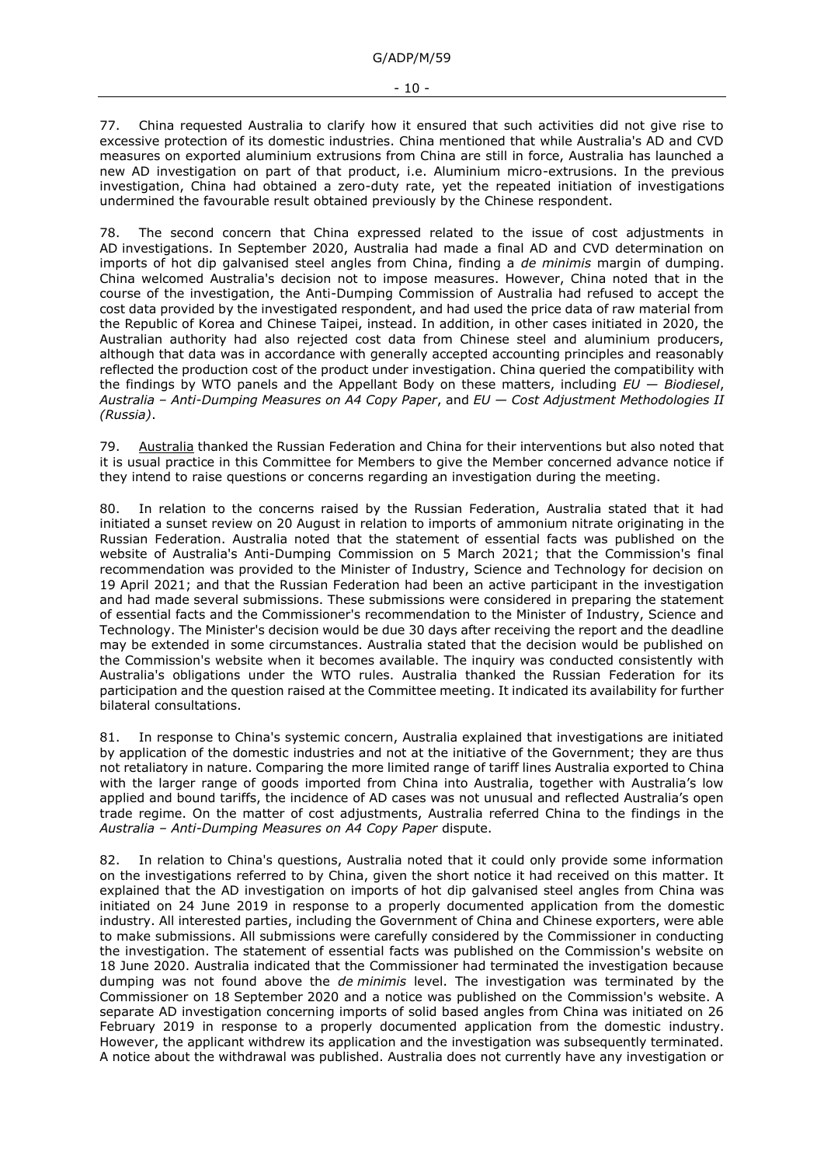G/ADP/M/59

77. China requested Australia to clarify how it ensured that such activities did not give rise to excessive protection of its domestic industries. China mentioned that while Australia's AD and CVD measures on exported aluminium extrusions from China are still in force, Australia has launched a new AD investigation on part of that product, i.e. Aluminium micro-extrusions. In the previous investigation, China had obtained a zero-duty rate, yet the repeated initiation of investigations undermined the favourable result obtained previously by the Chinese respondent.

78. The second concern that China expressed related to the issue of cost adjustments in AD investigations. In September 2020, Australia had made a final AD and CVD determination on imports of hot dip galvanised steel angles from China, finding a *de minimis* margin of dumping. China welcomed Australia's decision not to impose measures. However, China noted that in the course of the investigation, the Anti-Dumping Commission of Australia had refused to accept the cost data provided by the investigated respondent, and had used the price data of raw material from the Republic of Korea and Chinese Taipei, instead. In addition, in other cases initiated in 2020, the Australian authority had also rejected cost data from Chinese steel and aluminium producers, although that data was in accordance with generally accepted accounting principles and reasonably reflected the production cost of the product under investigation. China queried the compatibility with the findings by WTO panels and the Appellant Body on these matters, including *EU — Biodiesel*, *Australia – Anti-Dumping Measures on A4 Copy Paper*, and *EU — Cost Adjustment Methodologies II (Russia)*.

79. Australia thanked the Russian Federation and China for their interventions but also noted that it is usual practice in this Committee for Members to give the Member concerned advance notice if they intend to raise questions or concerns regarding an investigation during the meeting.

80. In relation to the concerns raised by the Russian Federation, Australia stated that it had initiated a sunset review on 20 August in relation to imports of ammonium nitrate originating in the Russian Federation. Australia noted that the statement of essential facts was published on the website of Australia's Anti-Dumping Commission on 5 March 2021; that the Commission's final recommendation was provided to the Minister of Industry, Science and Technology for decision on 19 April 2021; and that the Russian Federation had been an active participant in the investigation and had made several submissions. These submissions were considered in preparing the statement of essential facts and the Commissioner's recommendation to the Minister of Industry, Science and Technology. The Minister's decision would be due 30 days after receiving the report and the deadline may be extended in some circumstances. Australia stated that the decision would be published on the Commission's website when it becomes available. The inquiry was conducted consistently with Australia's obligations under the WTO rules. Australia thanked the Russian Federation for its participation and the question raised at the Committee meeting. It indicated its availability for further bilateral consultations.

81. In response to China's systemic concern, Australia explained that investigations are initiated by application of the domestic industries and not at the initiative of the Government; they are thus not retaliatory in nature. Comparing the more limited range of tariff lines Australia exported to China with the larger range of goods imported from China into Australia, together with Australia's low applied and bound tariffs, the incidence of AD cases was not unusual and reflected Australia's open trade regime. On the matter of cost adjustments, Australia referred China to the findings in the *Australia – Anti-Dumping Measures on A4 Copy Paper* dispute.

82. In relation to China's questions, Australia noted that it could only provide some information on the investigations referred to by China, given the short notice it had received on this matter. It explained that the AD investigation on imports of hot dip galvanised steel angles from China was initiated on 24 June 2019 in response to a properly documented application from the domestic industry. All interested parties, including the Government of China and Chinese exporters, were able to make submissions. All submissions were carefully considered by the Commissioner in conducting the investigation. The statement of essential facts was published on the Commission's website on 18 June 2020. Australia indicated that the Commissioner had terminated the investigation because dumping was not found above the *de minimis* level. The investigation was terminated by the Commissioner on 18 September 2020 and a notice was published on the Commission's website. A separate AD investigation concerning imports of solid based angles from China was initiated on 26 February 2019 in response to a properly documented application from the domestic industry. However, the applicant withdrew its application and the investigation was subsequently terminated. A notice about the withdrawal was published. Australia does not currently have any investigation or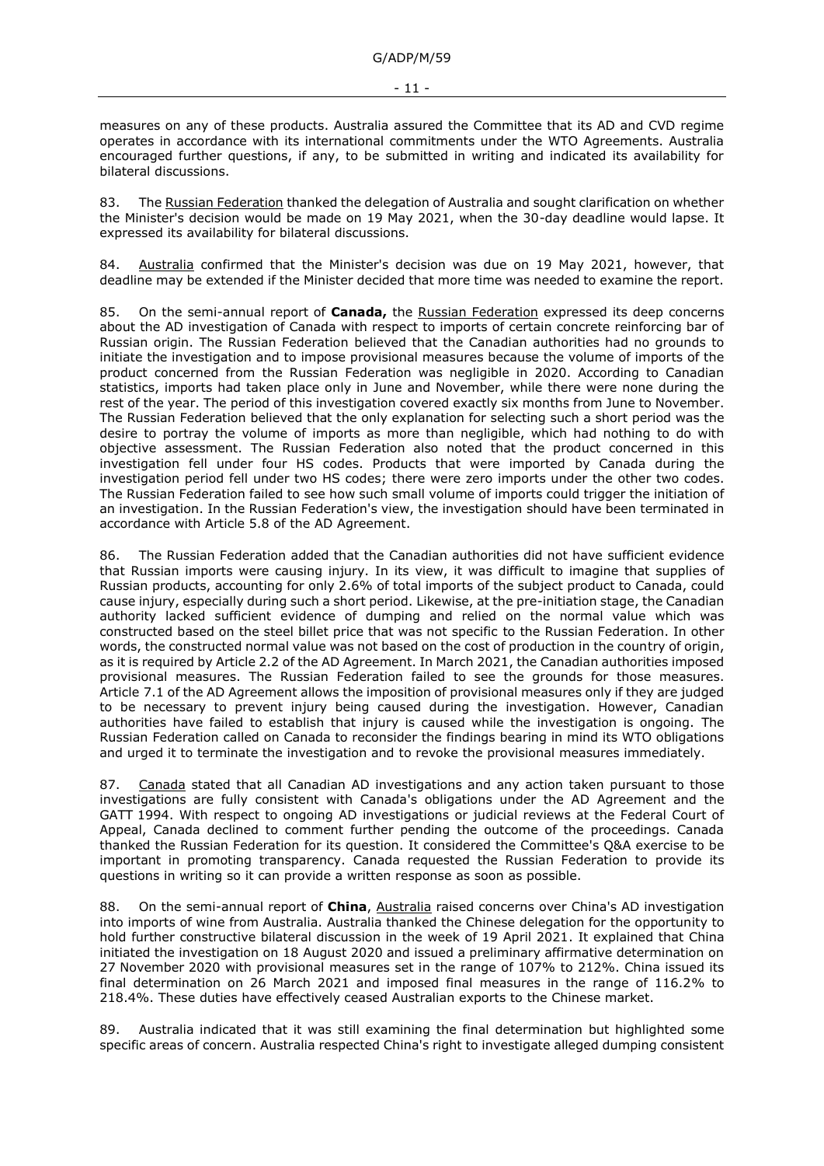measures on any of these products. Australia assured the Committee that its AD and CVD regime operates in accordance with its international commitments under the WTO Agreements. Australia encouraged further questions, if any, to be submitted in writing and indicated its availability for bilateral discussions.

83. The Russian Federation thanked the delegation of Australia and sought clarification on whether the Minister's decision would be made on 19 May 2021, when the 30-day deadline would lapse. It expressed its availability for bilateral discussions.

84. Australia confirmed that the Minister's decision was due on 19 May 2021, however, that deadline may be extended if the Minister decided that more time was needed to examine the report.

85. On the semi-annual report of **Canada,** the Russian Federation expressed its deep concerns about the AD investigation of Canada with respect to imports of certain concrete reinforcing bar of Russian origin. The Russian Federation believed that the Canadian authorities had no grounds to initiate the investigation and to impose provisional measures because the volume of imports of the product concerned from the Russian Federation was negligible in 2020. According to Canadian statistics, imports had taken place only in June and November, while there were none during the rest of the year. The period of this investigation covered exactly six months from June to November. The Russian Federation believed that the only explanation for selecting such a short period was the desire to portray the volume of imports as more than negligible, which had nothing to do with objective assessment. The Russian Federation also noted that the product concerned in this investigation fell under four HS codes. Products that were imported by Canada during the investigation period fell under two HS codes; there were zero imports under the other two codes. The Russian Federation failed to see how such small volume of imports could trigger the initiation of an investigation. In the Russian Federation's view, the investigation should have been terminated in accordance with Article 5.8 of the AD Agreement.

86. The Russian Federation added that the Canadian authorities did not have sufficient evidence that Russian imports were causing injury. In its view, it was difficult to imagine that supplies of Russian products, accounting for only 2.6% of total imports of the subject product to Canada, could cause injury, especially during such a short period. Likewise, at the pre-initiation stage, the Canadian authority lacked sufficient evidence of dumping and relied on the normal value which was constructed based on the steel billet price that was not specific to the Russian Federation. In other words, the constructed normal value was not based on the cost of production in the country of origin, as it is required by Article 2.2 of the AD Agreement. In March 2021, the Canadian authorities imposed provisional measures. The Russian Federation failed to see the grounds for those measures. Article 7.1 of the AD Agreement allows the imposition of provisional measures only if they are judged to be necessary to prevent injury being caused during the investigation. However, Canadian authorities have failed to establish that injury is caused while the investigation is ongoing. The Russian Federation called on Canada to reconsider the findings bearing in mind its WTO obligations and urged it to terminate the investigation and to revoke the provisional measures immediately.

87. Canada stated that all Canadian AD investigations and any action taken pursuant to those investigations are fully consistent with Canada's obligations under the AD Agreement and the GATT 1994. With respect to ongoing AD investigations or judicial reviews at the Federal Court of Appeal, Canada declined to comment further pending the outcome of the proceedings. Canada thanked the Russian Federation for its question. It considered the Committee's Q&A exercise to be important in promoting transparency. Canada requested the Russian Federation to provide its questions in writing so it can provide a written response as soon as possible.

88. On the semi-annual report of **China**, Australia raised concerns over China's AD investigation into imports of wine from Australia. Australia thanked the Chinese delegation for the opportunity to hold further constructive bilateral discussion in the week of 19 April 2021. It explained that China initiated the investigation on 18 August 2020 and issued a preliminary affirmative determination on 27 November 2020 with provisional measures set in the range of 107% to 212%. China issued its final determination on 26 March 2021 and imposed final measures in the range of 116.2% to 218.4%. These duties have effectively ceased Australian exports to the Chinese market.

89. Australia indicated that it was still examining the final determination but highlighted some specific areas of concern. Australia respected China's right to investigate alleged dumping consistent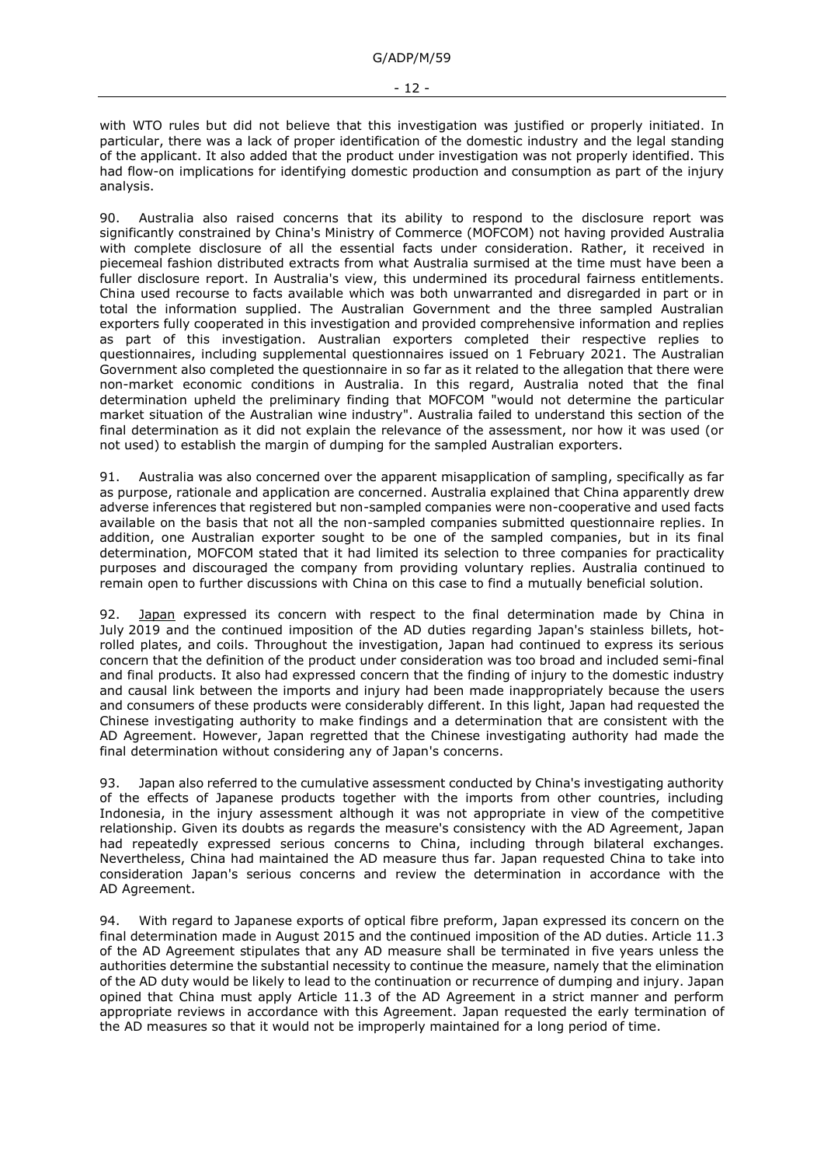with WTO rules but did not believe that this investigation was justified or properly initiated. In particular, there was a lack of proper identification of the domestic industry and the legal standing of the applicant. It also added that the product under investigation was not properly identified. This had flow-on implications for identifying domestic production and consumption as part of the injury analysis.

90. Australia also raised concerns that its ability to respond to the disclosure report was significantly constrained by China's Ministry of Commerce (MOFCOM) not having provided Australia with complete disclosure of all the essential facts under consideration. Rather, it received in piecemeal fashion distributed extracts from what Australia surmised at the time must have been a fuller disclosure report. In Australia's view, this undermined its procedural fairness entitlements. China used recourse to facts available which was both unwarranted and disregarded in part or in total the information supplied. The Australian Government and the three sampled Australian exporters fully cooperated in this investigation and provided comprehensive information and replies as part of this investigation. Australian exporters completed their respective replies to questionnaires, including supplemental questionnaires issued on 1 February 2021. The Australian Government also completed the questionnaire in so far as it related to the allegation that there were non-market economic conditions in Australia. In this regard, Australia noted that the final determination upheld the preliminary finding that MOFCOM "would not determine the particular market situation of the Australian wine industry". Australia failed to understand this section of the final determination as it did not explain the relevance of the assessment, nor how it was used (or not used) to establish the margin of dumping for the sampled Australian exporters.

91. Australia was also concerned over the apparent misapplication of sampling, specifically as far as purpose, rationale and application are concerned. Australia explained that China apparently drew adverse inferences that registered but non-sampled companies were non-cooperative and used facts available on the basis that not all the non-sampled companies submitted questionnaire replies. In addition, one Australian exporter sought to be one of the sampled companies, but in its final determination, MOFCOM stated that it had limited its selection to three companies for practicality purposes and discouraged the company from providing voluntary replies. Australia continued to remain open to further discussions with China on this case to find a mutually beneficial solution.

92. Japan expressed its concern with respect to the final determination made by China in July 2019 and the continued imposition of the AD duties regarding Japan's stainless billets, hotrolled plates, and coils. Throughout the investigation, Japan had continued to express its serious concern that the definition of the product under consideration was too broad and included semi-final and final products. It also had expressed concern that the finding of injury to the domestic industry and causal link between the imports and injury had been made inappropriately because the users and consumers of these products were considerably different. In this light, Japan had requested the Chinese investigating authority to make findings and a determination that are consistent with the AD Agreement. However, Japan regretted that the Chinese investigating authority had made the final determination without considering any of Japan's concerns.

93. Japan also referred to the cumulative assessment conducted by China's investigating authority of the effects of Japanese products together with the imports from other countries, including Indonesia, in the injury assessment although it was not appropriate in view of the competitive relationship. Given its doubts as regards the measure's consistency with the AD Agreement, Japan had repeatedly expressed serious concerns to China, including through bilateral exchanges. Nevertheless, China had maintained the AD measure thus far. Japan requested China to take into consideration Japan's serious concerns and review the determination in accordance with the AD Agreement.

94. With regard to Japanese exports of optical fibre preform, Japan expressed its concern on the final determination made in August 2015 and the continued imposition of the AD duties. Article 11.3 of the AD Agreement stipulates that any AD measure shall be terminated in five years unless the authorities determine the substantial necessity to continue the measure, namely that the elimination of the AD duty would be likely to lead to the continuation or recurrence of dumping and injury. Japan opined that China must apply Article 11.3 of the AD Agreement in a strict manner and perform appropriate reviews in accordance with this Agreement. Japan requested the early termination of the AD measures so that it would not be improperly maintained for a long period of time.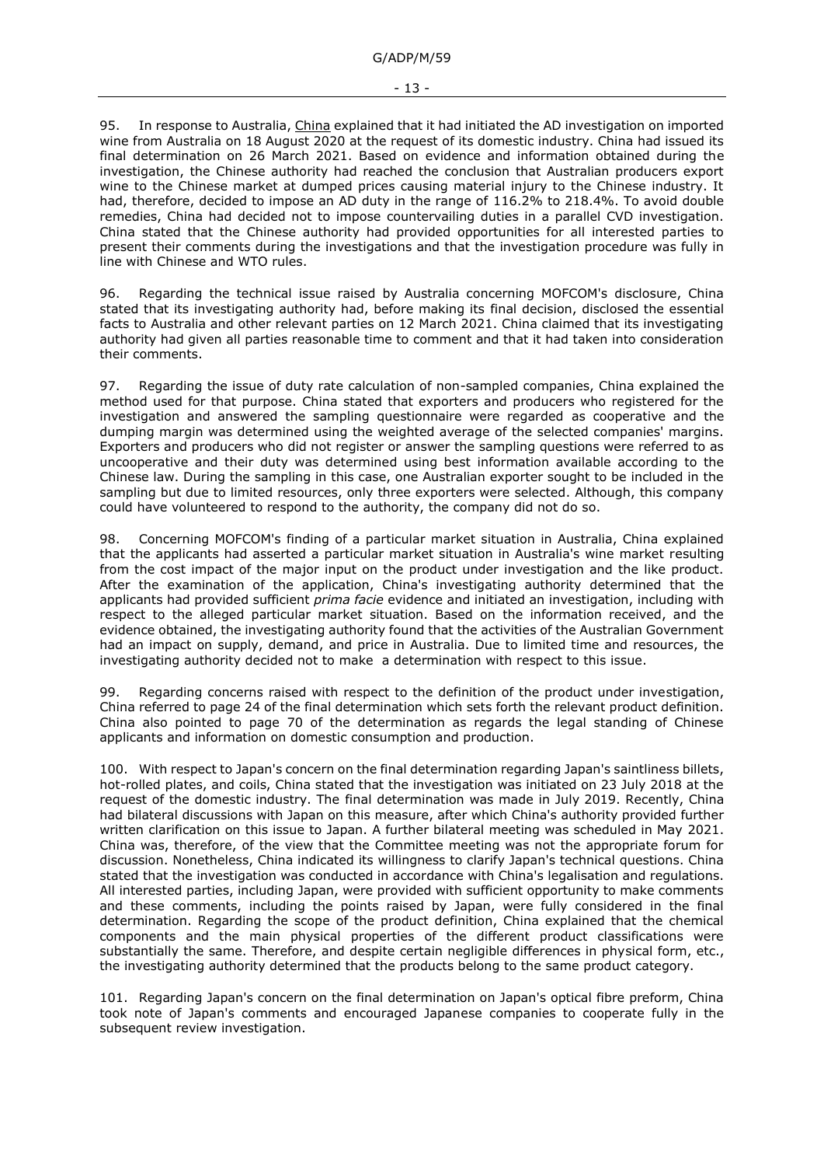95. In response to Australia, *China* explained that it had initiated the AD investigation on imported wine from Australia on 18 August 2020 at the request of its domestic industry. China had issued its final determination on 26 March 2021. Based on evidence and information obtained during the investigation, the Chinese authority had reached the conclusion that Australian producers export wine to the Chinese market at dumped prices causing material injury to the Chinese industry. It had, therefore, decided to impose an AD duty in the range of 116.2% to 218.4%. To avoid double remedies, China had decided not to impose countervailing duties in a parallel CVD investigation. China stated that the Chinese authority had provided opportunities for all interested parties to present their comments during the investigations and that the investigation procedure was fully in line with Chinese and WTO rules.

96. Regarding the technical issue raised by Australia concerning MOFCOM's disclosure, China stated that its investigating authority had, before making its final decision, disclosed the essential facts to Australia and other relevant parties on 12 March 2021. China claimed that its investigating authority had given all parties reasonable time to comment and that it had taken into consideration their comments.

97. Regarding the issue of duty rate calculation of non-sampled companies, China explained the method used for that purpose. China stated that exporters and producers who registered for the investigation and answered the sampling questionnaire were regarded as cooperative and the dumping margin was determined using the weighted average of the selected companies' margins. Exporters and producers who did not register or answer the sampling questions were referred to as uncooperative and their duty was determined using best information available according to the Chinese law. During the sampling in this case, one Australian exporter sought to be included in the sampling but due to limited resources, only three exporters were selected. Although, this company could have volunteered to respond to the authority, the company did not do so.

98. Concerning MOFCOM's finding of a particular market situation in Australia, China explained that the applicants had asserted a particular market situation in Australia's wine market resulting from the cost impact of the major input on the product under investigation and the like product. After the examination of the application, China's investigating authority determined that the applicants had provided sufficient *prima facie* evidence and initiated an investigation, including with respect to the alleged particular market situation. Based on the information received, and the evidence obtained, the investigating authority found that the activities of the Australian Government had an impact on supply, demand, and price in Australia. Due to limited time and resources, the investigating authority decided not to make a determination with respect to this issue.

99. Regarding concerns raised with respect to the definition of the product under investigation, China referred to page 24 of the final determination which sets forth the relevant product definition. China also pointed to page 70 of the determination as regards the legal standing of Chinese applicants and information on domestic consumption and production.

100. With respect to Japan's concern on the final determination regarding Japan's saintliness billets, hot-rolled plates, and coils, China stated that the investigation was initiated on 23 July 2018 at the request of the domestic industry. The final determination was made in July 2019. Recently, China had bilateral discussions with Japan on this measure, after which China's authority provided further written clarification on this issue to Japan. A further bilateral meeting was scheduled in May 2021. China was, therefore, of the view that the Committee meeting was not the appropriate forum for discussion. Nonetheless, China indicated its willingness to clarify Japan's technical questions. China stated that the investigation was conducted in accordance with China's legalisation and regulations. All interested parties, including Japan, were provided with sufficient opportunity to make comments and these comments, including the points raised by Japan, were fully considered in the final determination. Regarding the scope of the product definition, China explained that the chemical components and the main physical properties of the different product classifications were substantially the same. Therefore, and despite certain negligible differences in physical form, etc., the investigating authority determined that the products belong to the same product category.

101. Regarding Japan's concern on the final determination on Japan's optical fibre preform, China took note of Japan's comments and encouraged Japanese companies to cooperate fully in the subsequent review investigation.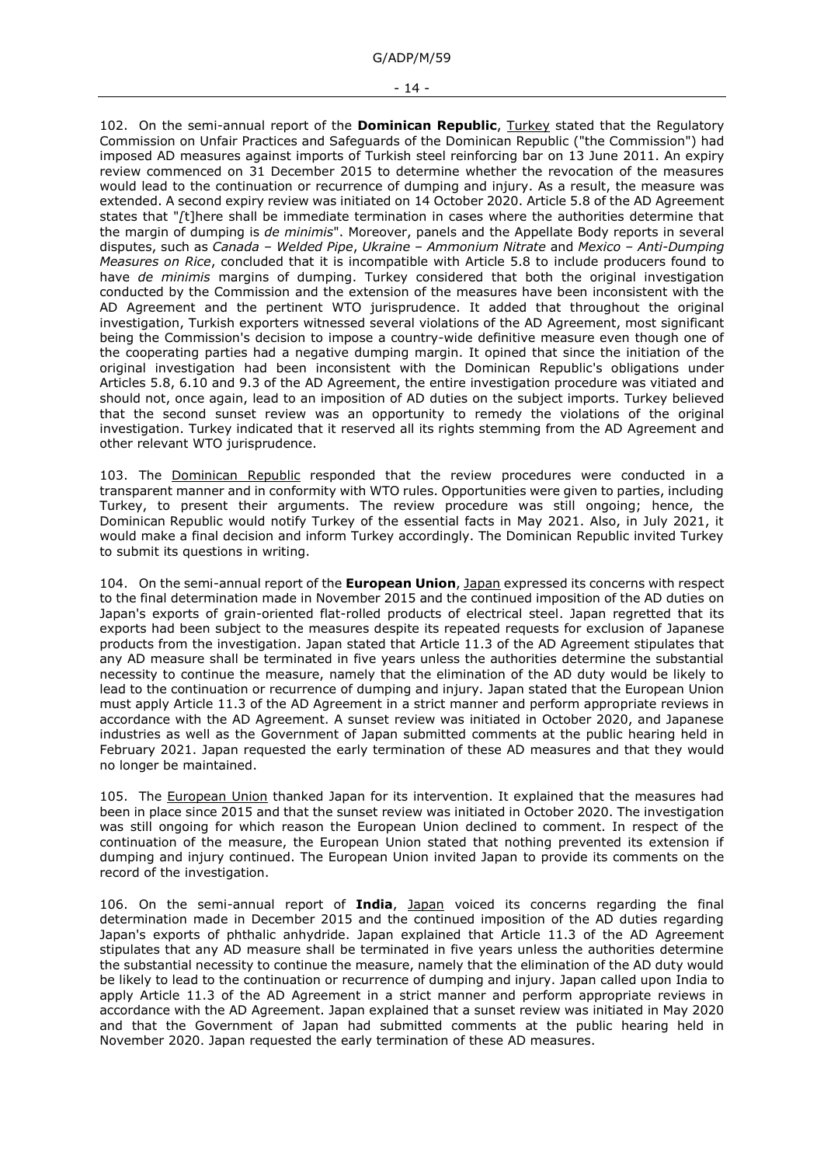G/ADP/M/59

#### - 14 -

102. On the semi-annual report of the **Dominican Republic**, Turkey stated that the Regulatory Commission on Unfair Practices and Safeguards of the Dominican Republic ("the Commission") had imposed AD measures against imports of Turkish steel reinforcing bar on 13 June 2011. An expiry review commenced on 31 December 2015 to determine whether the revocation of the measures would lead to the continuation or recurrence of dumping and injury. As a result, the measure was extended. A second expiry review was initiated on 14 October 2020. Article 5.8 of the AD Agreement states that "*[*t]here shall be immediate termination in cases where the authorities determine that the margin of dumping is *de minimis*". Moreover, panels and the Appellate Body reports in several disputes, such as *Canada – Welded Pipe*, *Ukraine – Ammonium Nitrate* and *Mexico – Anti-Dumping Measures on Rice*, concluded that it is incompatible with Article 5.8 to include producers found to have *de minimis* margins of dumping. Turkey considered that both the original investigation conducted by the Commission and the extension of the measures have been inconsistent with the AD Agreement and the pertinent WTO jurisprudence. It added that throughout the original investigation, Turkish exporters witnessed several violations of the AD Agreement, most significant being the Commission's decision to impose a country-wide definitive measure even though one of the cooperating parties had a negative dumping margin. It opined that since the initiation of the original investigation had been inconsistent with the Dominican Republic's obligations under Articles 5.8, 6.10 and 9.3 of the AD Agreement, the entire investigation procedure was vitiated and should not, once again, lead to an imposition of AD duties on the subject imports. Turkey believed that the second sunset review was an opportunity to remedy the violations of the original investigation. Turkey indicated that it reserved all its rights stemming from the AD Agreement and other relevant WTO jurisprudence.

103. The Dominican Republic responded that the review procedures were conducted in a transparent manner and in conformity with WTO rules. Opportunities were given to parties, including Turkey, to present their arguments. The review procedure was still ongoing; hence, the Dominican Republic would notify Turkey of the essential facts in May 2021. Also, in July 2021, it would make a final decision and inform Turkey accordingly. The Dominican Republic invited Turkey to submit its questions in writing.

104. On the semi-annual report of the **European Union**, Japan expressed its concerns with respect to the final determination made in November 2015 and the continued imposition of the AD duties on Japan's exports of grain-oriented flat-rolled products of electrical steel. Japan regretted that its exports had been subject to the measures despite its repeated requests for exclusion of Japanese products from the investigation. Japan stated that Article 11.3 of the AD Agreement stipulates that any AD measure shall be terminated in five years unless the authorities determine the substantial necessity to continue the measure, namely that the elimination of the AD duty would be likely to lead to the continuation or recurrence of dumping and injury. Japan stated that the European Union must apply Article 11.3 of the AD Agreement in a strict manner and perform appropriate reviews in accordance with the AD Agreement. A sunset review was initiated in October 2020, and Japanese industries as well as the Government of Japan submitted comments at the public hearing held in February 2021. Japan requested the early termination of these AD measures and that they would no longer be maintained.

105. The European Union thanked Japan for its intervention. It explained that the measures had been in place since 2015 and that the sunset review was initiated in October 2020. The investigation was still ongoing for which reason the European Union declined to comment. In respect of the continuation of the measure, the European Union stated that nothing prevented its extension if dumping and injury continued. The European Union invited Japan to provide its comments on the record of the investigation.

106. On the semi-annual report of **India**, Japan voiced its concerns regarding the final determination made in December 2015 and the continued imposition of the AD duties regarding Japan's exports of phthalic anhydride. Japan explained that Article 11.3 of the AD Agreement stipulates that any AD measure shall be terminated in five years unless the authorities determine the substantial necessity to continue the measure, namely that the elimination of the AD duty would be likely to lead to the continuation or recurrence of dumping and injury. Japan called upon India to apply Article 11.3 of the AD Agreement in a strict manner and perform appropriate reviews in accordance with the AD Agreement. Japan explained that a sunset review was initiated in May 2020 and that the Government of Japan had submitted comments at the public hearing held in November 2020. Japan requested the early termination of these AD measures.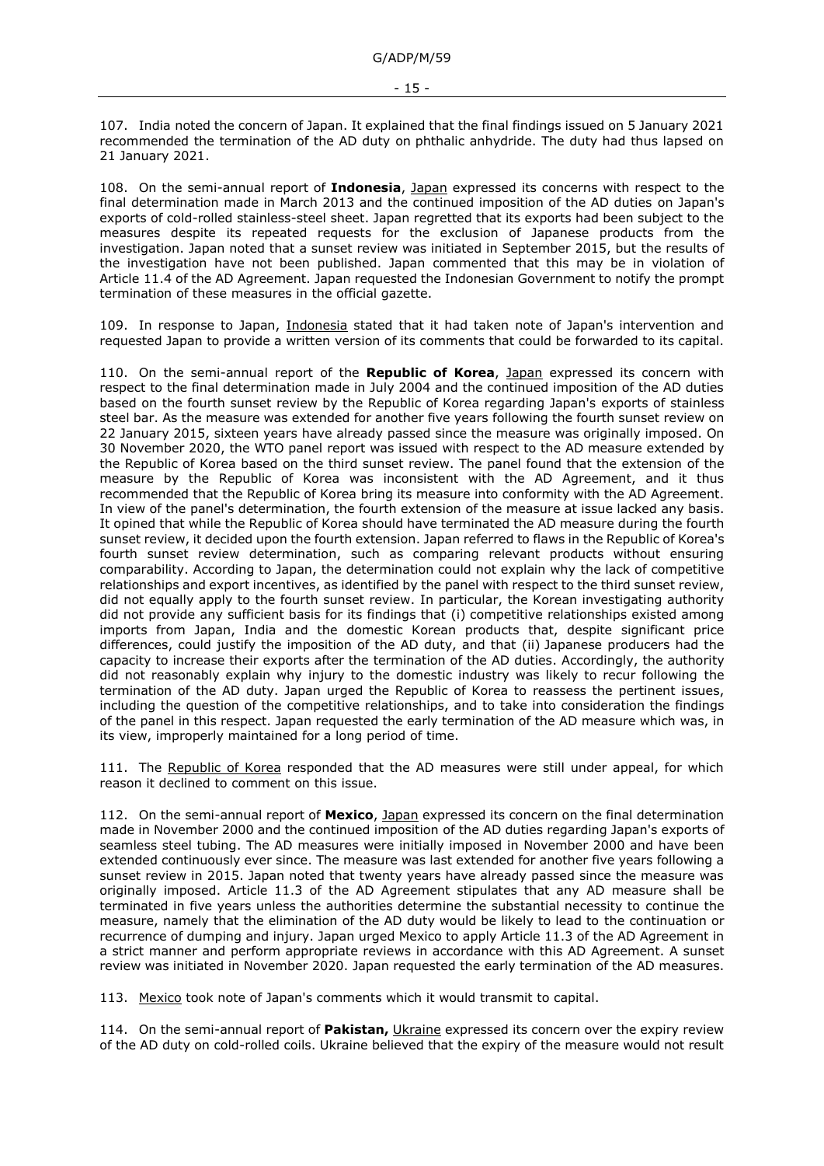107. India noted the concern of Japan. It explained that the final findings issued on 5 January 2021 recommended the termination of the AD duty on phthalic anhydride. The duty had thus lapsed on 21 January 2021.

108. On the semi-annual report of **Indonesia**, Japan expressed its concerns with respect to the final determination made in March 2013 and the continued imposition of the AD duties on Japan's exports of cold-rolled stainless-steel sheet. Japan regretted that its exports had been subject to the measures despite its repeated requests for the exclusion of Japanese products from the investigation. Japan noted that a sunset review was initiated in September 2015, but the results of the investigation have not been published. Japan commented that this may be in violation of Article 11.4 of the AD Agreement. Japan requested the Indonesian Government to notify the prompt termination of these measures in the official gazette.

109. In response to Japan, Indonesia stated that it had taken note of Japan's intervention and requested Japan to provide a written version of its comments that could be forwarded to its capital.

110. On the semi-annual report of the **Republic of Korea**, Japan expressed its concern with respect to the final determination made in July 2004 and the continued imposition of the AD duties based on the fourth sunset review by the Republic of Korea regarding Japan's exports of stainless steel bar. As the measure was extended for another five years following the fourth sunset review on 22 January 2015, sixteen years have already passed since the measure was originally imposed. On 30 November 2020, the WTO panel report was issued with respect to the AD measure extended by the Republic of Korea based on the third sunset review. The panel found that the extension of the measure by the Republic of Korea was inconsistent with the AD Agreement, and it thus recommended that the Republic of Korea bring its measure into conformity with the AD Agreement. In view of the panel's determination, the fourth extension of the measure at issue lacked any basis. It opined that while the Republic of Korea should have terminated the AD measure during the fourth sunset review, it decided upon the fourth extension. Japan referred to flaws in the Republic of Korea's fourth sunset review determination, such as comparing relevant products without ensuring comparability. According to Japan, the determination could not explain why the lack of competitive relationships and export incentives, as identified by the panel with respect to the third sunset review, did not equally apply to the fourth sunset review. In particular, the Korean investigating authority did not provide any sufficient basis for its findings that (i) competitive relationships existed among imports from Japan, India and the domestic Korean products that, despite significant price differences, could justify the imposition of the AD duty, and that (ii) Japanese producers had the capacity to increase their exports after the termination of the AD duties. Accordingly, the authority did not reasonably explain why injury to the domestic industry was likely to recur following the termination of the AD duty. Japan urged the Republic of Korea to reassess the pertinent issues, including the question of the competitive relationships, and to take into consideration the findings of the panel in this respect. Japan requested the early termination of the AD measure which was, in its view, improperly maintained for a long period of time.

111. The Republic of Korea responded that the AD measures were still under appeal, for which reason it declined to comment on this issue.

112. On the semi-annual report of **Mexico**, Japan expressed its concern on the final determination made in November 2000 and the continued imposition of the AD duties regarding Japan's exports of seamless steel tubing. The AD measures were initially imposed in November 2000 and have been extended continuously ever since. The measure was last extended for another five years following a sunset review in 2015. Japan noted that twenty years have already passed since the measure was originally imposed. Article 11.3 of the AD Agreement stipulates that any AD measure shall be terminated in five years unless the authorities determine the substantial necessity to continue the measure, namely that the elimination of the AD duty would be likely to lead to the continuation or recurrence of dumping and injury. Japan urged Mexico to apply Article 11.3 of the AD Agreement in a strict manner and perform appropriate reviews in accordance with this AD Agreement. A sunset review was initiated in November 2020. Japan requested the early termination of the AD measures.

113. Mexico took note of Japan's comments which it would transmit to capital.

114. On the semi-annual report of **Pakistan,** Ukraine expressed its concern over the expiry review of the AD duty on cold-rolled coils. Ukraine believed that the expiry of the measure would not result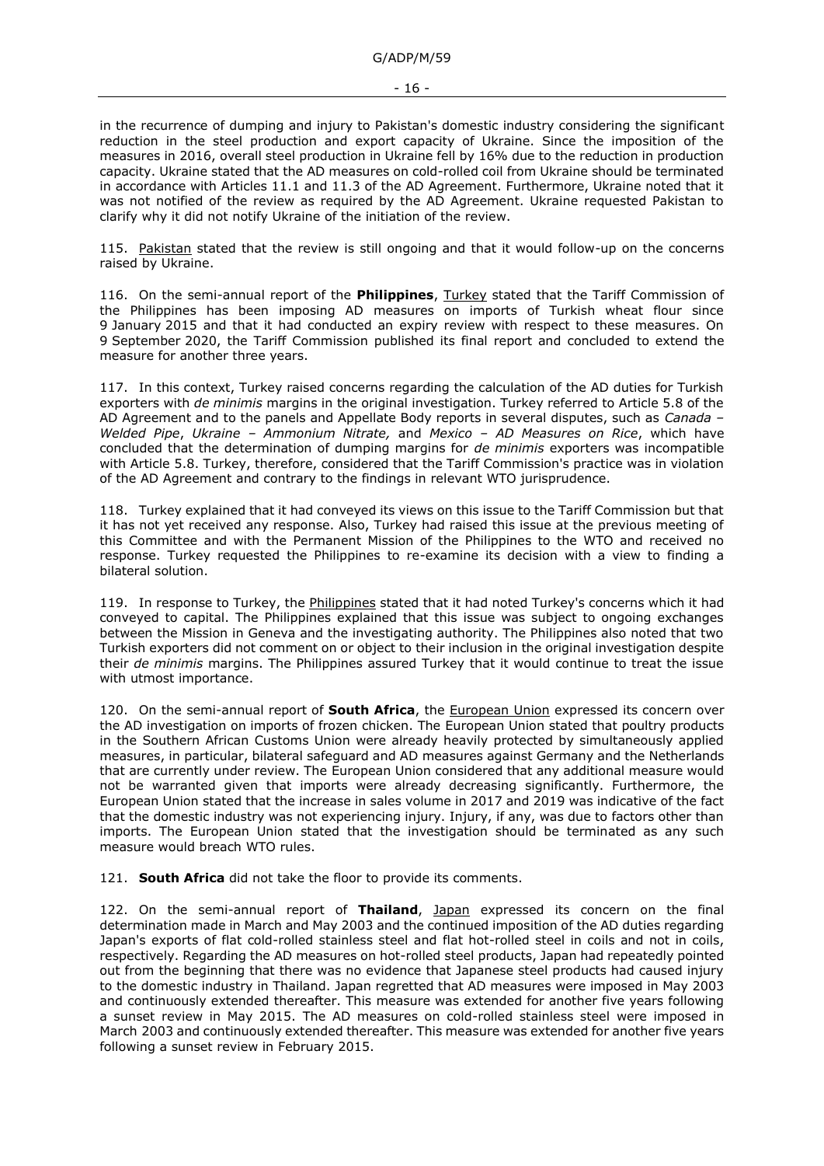G/ADP/M/59

in the recurrence of dumping and injury to Pakistan's domestic industry considering the significant reduction in the steel production and export capacity of Ukraine. Since the imposition of the measures in 2016, overall steel production in Ukraine fell by 16% due to the reduction in production capacity. Ukraine stated that the AD measures on cold-rolled coil from Ukraine should be terminated in accordance with Articles 11.1 and 11.3 of the AD Agreement. Furthermore, Ukraine noted that it was not notified of the review as required by the AD Agreement. Ukraine requested Pakistan to clarify why it did not notify Ukraine of the initiation of the review.

115. Pakistan stated that the review is still ongoing and that it would follow-up on the concerns raised by Ukraine.

116. On the semi-annual report of the **Philippines**, Turkey stated that the Tariff Commission of the Philippines has been imposing AD measures on imports of Turkish wheat flour since 9 January 2015 and that it had conducted an expiry review with respect to these measures. On 9 September 2020, the Tariff Commission published its final report and concluded to extend the measure for another three years.

117. In this context, Turkey raised concerns regarding the calculation of the AD duties for Turkish exporters with *de minimis* margins in the original investigation. Turkey referred to Article 5.8 of the AD Agreement and to the panels and Appellate Body reports in several disputes, such as *Canada – Welded Pipe*, *Ukraine – Ammonium Nitrate,* and *Mexico – AD Measures on Rice*, which have concluded that the determination of dumping margins for *de minimis* exporters was incompatible with Article 5.8. Turkey, therefore, considered that the Tariff Commission's practice was in violation of the AD Agreement and contrary to the findings in relevant WTO jurisprudence.

118. Turkey explained that it had conveyed its views on this issue to the Tariff Commission but that it has not yet received any response. Also, Turkey had raised this issue at the previous meeting of this Committee and with the Permanent Mission of the Philippines to the WTO and received no response. Turkey requested the Philippines to re-examine its decision with a view to finding a bilateral solution.

119. In response to Turkey, the Philippines stated that it had noted Turkey's concerns which it had conveyed to capital. The Philippines explained that this issue was subject to ongoing exchanges between the Mission in Geneva and the investigating authority. The Philippines also noted that two Turkish exporters did not comment on or object to their inclusion in the original investigation despite their *de minimis* margins. The Philippines assured Turkey that it would continue to treat the issue with utmost importance.

120. On the semi-annual report of **South Africa**, the European Union expressed its concern over the AD investigation on imports of frozen chicken. The European Union stated that poultry products in the Southern African Customs Union were already heavily protected by simultaneously applied measures, in particular, bilateral safeguard and AD measures against Germany and the Netherlands that are currently under review. The European Union considered that any additional measure would not be warranted given that imports were already decreasing significantly. Furthermore, the European Union stated that the increase in sales volume in 2017 and 2019 was indicative of the fact that the domestic industry was not experiencing injury. Injury, if any, was due to factors other than imports. The European Union stated that the investigation should be terminated as any such measure would breach WTO rules.

121. **South Africa** did not take the floor to provide its comments.

122. On the semi-annual report of **Thailand**, Japan expressed its concern on the final determination made in March and May 2003 and the continued imposition of the AD duties regarding Japan's exports of flat cold-rolled stainless steel and flat hot-rolled steel in coils and not in coils, respectively. Regarding the AD measures on hot-rolled steel products, Japan had repeatedly pointed out from the beginning that there was no evidence that Japanese steel products had caused injury to the domestic industry in Thailand. Japan regretted that AD measures were imposed in May 2003 and continuously extended thereafter. This measure was extended for another five years following a sunset review in May 2015. The AD measures on cold-rolled stainless steel were imposed in March 2003 and continuously extended thereafter. This measure was extended for another five years following a sunset review in February 2015.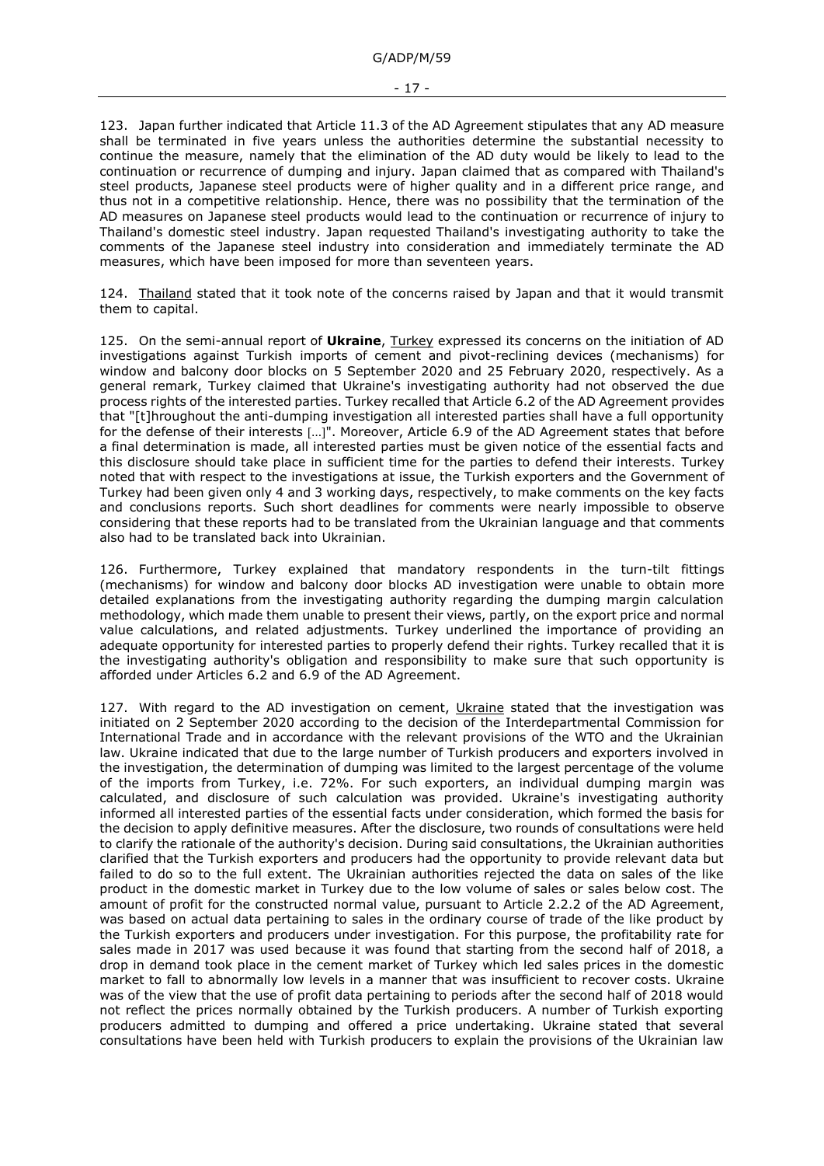123. Japan further indicated that Article 11.3 of the AD Agreement stipulates that any AD measure shall be terminated in five years unless the authorities determine the substantial necessity to continue the measure, namely that the elimination of the AD duty would be likely to lead to the continuation or recurrence of dumping and injury. Japan claimed that as compared with Thailand's steel products, Japanese steel products were of higher quality and in a different price range, and thus not in a competitive relationship. Hence, there was no possibility that the termination of the AD measures on Japanese steel products would lead to the continuation or recurrence of injury to Thailand's domestic steel industry. Japan requested Thailand's investigating authority to take the comments of the Japanese steel industry into consideration and immediately terminate the AD measures, which have been imposed for more than seventeen years.

124. Thailand stated that it took note of the concerns raised by Japan and that it would transmit them to capital.

125. On the semi-annual report of **Ukraine**, Turkey expressed its concerns on the initiation of AD investigations against Turkish imports of cement and pivot-reclining devices (mechanisms) for window and balcony door blocks on 5 September 2020 and 25 February 2020, respectively. As a general remark, Turkey claimed that Ukraine's investigating authority had not observed the due process rights of the interested parties. Turkey recalled that Article 6.2 of the AD Agreement provides that "[t]hroughout the anti-dumping investigation all interested parties shall have a full opportunity for the defense of their interests [...]". Moreover, Article 6.9 of the AD Agreement states that before a final determination is made, all interested parties must be given notice of the essential facts and this disclosure should take place in sufficient time for the parties to defend their interests. Turkey noted that with respect to the investigations at issue, the Turkish exporters and the Government of Turkey had been given only 4 and 3 working days, respectively, to make comments on the key facts and conclusions reports. Such short deadlines for comments were nearly impossible to observe considering that these reports had to be translated from the Ukrainian language and that comments also had to be translated back into Ukrainian.

126. Furthermore, Turkey explained that mandatory respondents in the turn-tilt fittings (mechanisms) for window and balcony door blocks AD investigation were unable to obtain more detailed explanations from the investigating authority regarding the dumping margin calculation methodology, which made them unable to present their views, partly, on the export price and normal value calculations, and related adjustments. Turkey underlined the importance of providing an adequate opportunity for interested parties to properly defend their rights. Turkey recalled that it is the investigating authority's obligation and responsibility to make sure that such opportunity is afforded under Articles 6.2 and 6.9 of the AD Agreement.

127. With regard to the AD investigation on cement, Ukraine stated that the investigation was initiated on 2 September 2020 according to the decision of the Interdepartmental Commission for International Trade and in accordance with the relevant provisions of the WTO and the Ukrainian law. Ukraine indicated that due to the large number of Turkish producers and exporters involved in the investigation, the determination of dumping was limited to the largest percentage of the volume of the imports from Turkey, i.e. 72%. For such exporters, an individual dumping margin was calculated, and disclosure of such calculation was provided. Ukraine's investigating authority informed all interested parties of the essential facts under consideration, which formed the basis for the decision to apply definitive measures. After the disclosure, two rounds of consultations were held to clarify the rationale of the authority's decision. During said consultations, the Ukrainian authorities clarified that the Turkish exporters and producers had the opportunity to provide relevant data but failed to do so to the full extent. The Ukrainian authorities rejected the data on sales of the like product in the domestic market in Turkey due to the low volume of sales or sales below cost. The amount of profit for the constructed normal value, pursuant to Article 2.2.2 of the AD Agreement, was based on actual data pertaining to sales in the ordinary course of trade of the like product by the Turkish exporters and producers under investigation. For this purpose, the profitability rate for sales made in 2017 was used because it was found that starting from the second half of 2018, a drop in demand took place in the cement market of Turkey which led sales prices in the domestic market to fall to abnormally low levels in a manner that was insufficient to recover costs. Ukraine was of the view that the use of profit data pertaining to periods after the second half of 2018 would not reflect the prices normally obtained by the Turkish producers. A number of Turkish exporting producers admitted to dumping and offered a price undertaking. Ukraine stated that several consultations have been held with Turkish producers to explain the provisions of the Ukrainian law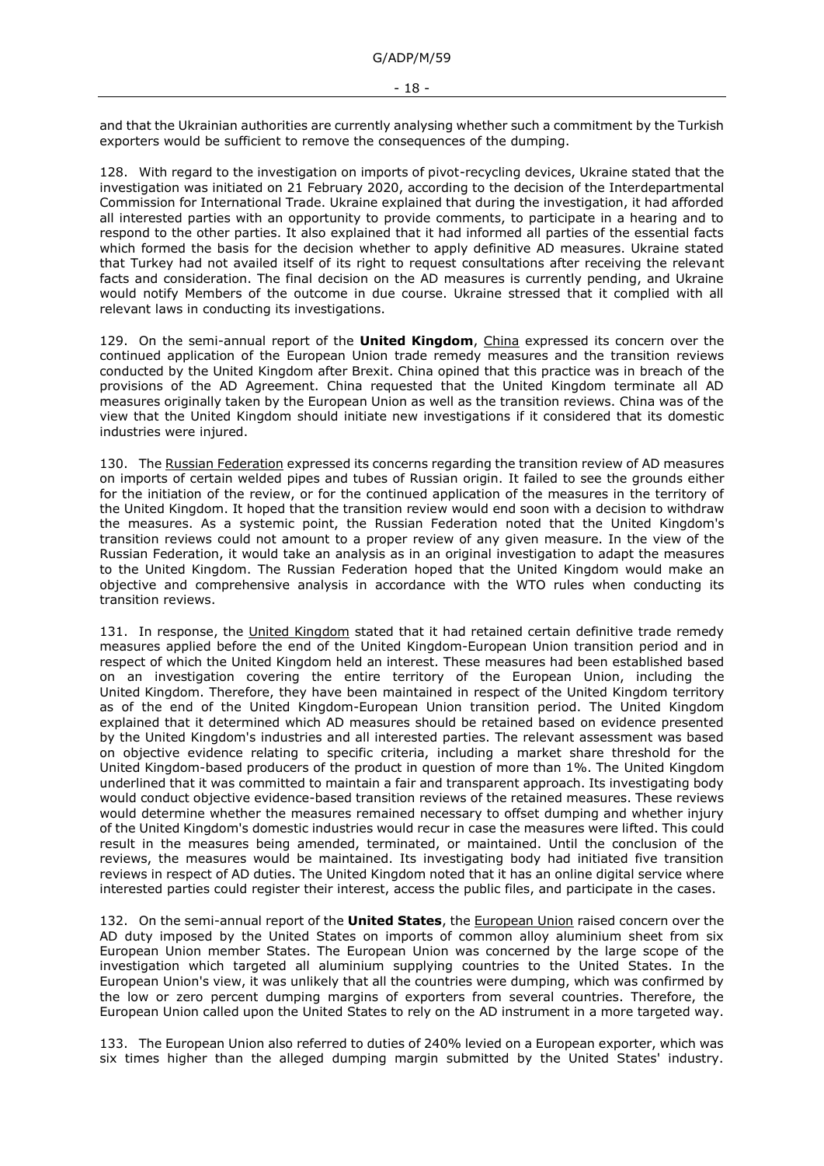and that the Ukrainian authorities are currently analysing whether such a commitment by the Turkish exporters would be sufficient to remove the consequences of the dumping.

128. With regard to the investigation on imports of pivot-recycling devices, Ukraine stated that the investigation was initiated on 21 February 2020, according to the decision of the Interdepartmental Commission for International Trade. Ukraine explained that during the investigation, it had afforded all interested parties with an opportunity to provide comments, to participate in a hearing and to respond to the other parties. It also explained that it had informed all parties of the essential facts which formed the basis for the decision whether to apply definitive AD measures. Ukraine stated that Turkey had not availed itself of its right to request consultations after receiving the relevant facts and consideration. The final decision on the AD measures is currently pending, and Ukraine would notify Members of the outcome in due course. Ukraine stressed that it complied with all relevant laws in conducting its investigations.

129. On the semi-annual report of the **United Kingdom**, China expressed its concern over the continued application of the European Union trade remedy measures and the transition reviews conducted by the United Kingdom after Brexit. China opined that this practice was in breach of the provisions of the AD Agreement. China requested that the United Kingdom terminate all AD measures originally taken by the European Union as well as the transition reviews. China was of the view that the United Kingdom should initiate new investigations if it considered that its domestic industries were injured.

130. The Russian Federation expressed its concerns regarding the transition review of AD measures on imports of certain welded pipes and tubes of Russian origin. It failed to see the grounds either for the initiation of the review, or for the continued application of the measures in the territory of the United Kingdom. It hoped that the transition review would end soon with a decision to withdraw the measures. As a systemic point, the Russian Federation noted that the United Kingdom's transition reviews could not amount to a proper review of any given measure. In the view of the Russian Federation, it would take an analysis as in an original investigation to adapt the measures to the United Kingdom. The Russian Federation hoped that the United Kingdom would make an objective and comprehensive analysis in accordance with the WTO rules when conducting its transition reviews.

131. In response, the United Kingdom stated that it had retained certain definitive trade remedy measures applied before the end of the United Kingdom-European Union transition period and in respect of which the United Kingdom held an interest. These measures had been established based on an investigation covering the entire territory of the European Union, including the United Kingdom. Therefore, they have been maintained in respect of the United Kingdom territory as of the end of the United Kingdom-European Union transition period. The United Kingdom explained that it determined which AD measures should be retained based on evidence presented by the United Kingdom's industries and all interested parties. The relevant assessment was based on objective evidence relating to specific criteria, including a market share threshold for the United Kingdom-based producers of the product in question of more than 1%. The United Kingdom underlined that it was committed to maintain a fair and transparent approach. Its investigating body would conduct objective evidence-based transition reviews of the retained measures. These reviews would determine whether the measures remained necessary to offset dumping and whether injury of the United Kingdom's domestic industries would recur in case the measures were lifted. This could result in the measures being amended, terminated, or maintained. Until the conclusion of the reviews, the measures would be maintained. Its investigating body had initiated five transition reviews in respect of AD duties. The United Kingdom noted that it has an online digital service where interested parties could register their interest, access the public files, and participate in the cases.

132. On the semi-annual report of the **United States**, the European Union raised concern over the AD duty imposed by the United States on imports of common alloy aluminium sheet from six European Union member States. The European Union was concerned by the large scope of the investigation which targeted all aluminium supplying countries to the United States. In the European Union's view, it was unlikely that all the countries were dumping, which was confirmed by the low or zero percent dumping margins of exporters from several countries. Therefore, the European Union called upon the United States to rely on the AD instrument in a more targeted way.

133. The European Union also referred to duties of 240% levied on a European exporter, which was six times higher than the alleged dumping margin submitted by the United States' industry.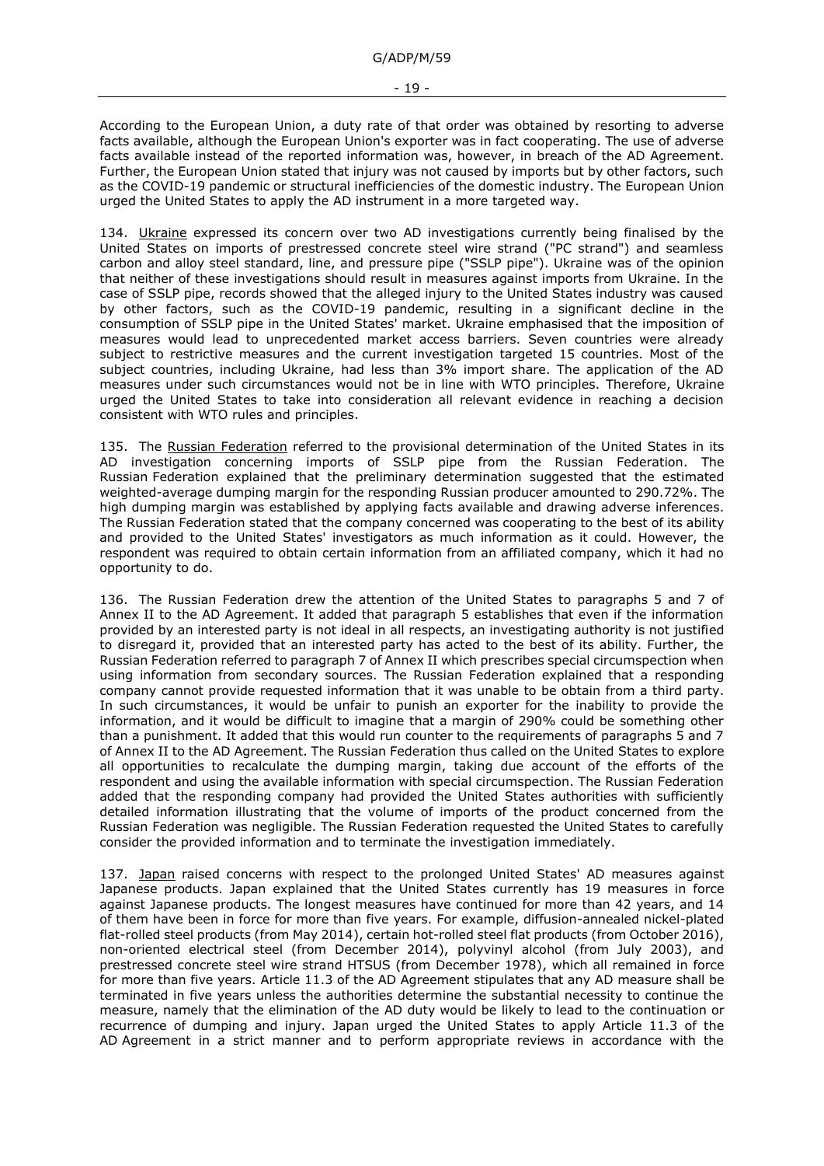According to the European Union, a duty rate of that order was obtained by resorting to adverse facts available, although the European Union's exporter was in fact cooperating. The use of adverse facts available instead of the reported information was, however, in breach of the AD Agreement. Further, the European Union stated that injury was not caused by imports but by other factors, such as the COVID-19 pandemic or structural inefficiencies of the domestic industry. The European Union urged the United States to apply the AD instrument in a more targeted way.

134. Ukraine expressed its concern over two AD investigations currently being finalised by the United States on imports of prestressed concrete steel wire strand ("PC strand") and seamless carbon and alloy steel standard, line, and pressure pipe ("SSLP pipe"). Ukraine was of the opinion that neither of these investigations should result in measures against imports from Ukraine. In the case of SSLP pipe, records showed that the alleged injury to the United States industry was caused by other factors, such as the COVID-19 pandemic, resulting in a significant decline in the consumption of SSLP pipe in the United States' market. Ukraine emphasised that the imposition of measures would lead to unprecedented market access barriers. Seven countries were already subject to restrictive measures and the current investigation targeted 15 countries. Most of the subject countries, including Ukraine, had less than 3% import share. The application of the AD measures under such circumstances would not be in line with WTO principles. Therefore, Ukraine urged the United States to take into consideration all relevant evidence in reaching a decision consistent with WTO rules and principles.

135. The Russian Federation referred to the provisional determination of the United States in its AD investigation concerning imports of SSLP pipe from the Russian Federation. The Russian Federation explained that the preliminary determination suggested that the estimated weighted-average dumping margin for the responding Russian producer amounted to 290.72%. The high dumping margin was established by applying facts available and drawing adverse inferences. The Russian Federation stated that the company concerned was cooperating to the best of its ability and provided to the United States' investigators as much information as it could. However, the respondent was required to obtain certain information from an affiliated company, which it had no opportunity to do.

136. The Russian Federation drew the attention of the United States to paragraphs 5 and 7 of Annex II to the AD Agreement. It added that paragraph 5 establishes that even if the information provided by an interested party is not ideal in all respects, an investigating authority is not justified to disregard it, provided that an interested party has acted to the best of its ability. Further, the Russian Federation referred to paragraph 7 of Annex II which prescribes special circumspection when using information from secondary sources. The Russian Federation explained that a responding company cannot provide requested information that it was unable to be obtain from a third party. In such circumstances, it would be unfair to punish an exporter for the inability to provide the information, and it would be difficult to imagine that a margin of 290% could be something other than a punishment. It added that this would run counter to the requirements of paragraphs 5 and 7 of Annex II to the AD Agreement. The Russian Federation thus called on the United States to explore all opportunities to recalculate the dumping margin, taking due account of the efforts of the respondent and using the available information with special circumspection. The Russian Federation added that the responding company had provided the United States authorities with sufficiently detailed information illustrating that the volume of imports of the product concerned from the Russian Federation was negligible. The Russian Federation requested the United States to carefully consider the provided information and to terminate the investigation immediately.

137. Japan raised concerns with respect to the prolonged United States' AD measures against Japanese products. Japan explained that the United States currently has 19 measures in force against Japanese products. The longest measures have continued for more than 42 years, and 14 of them have been in force for more than five years. For example, diffusion-annealed nickel-plated flat-rolled steel products (from May 2014), certain hot-rolled steel flat products (from October 2016), non-oriented electrical steel (from December 2014), polyvinyl alcohol (from July 2003), and prestressed concrete steel wire strand HTSUS (from December 1978), which all remained in force for more than five years. Article 11.3 of the AD Agreement stipulates that any AD measure shall be terminated in five years unless the authorities determine the substantial necessity to continue the measure, namely that the elimination of the AD duty would be likely to lead to the continuation or recurrence of dumping and injury. Japan urged the United States to apply Article 11.3 of the AD Agreement in a strict manner and to perform appropriate reviews in accordance with the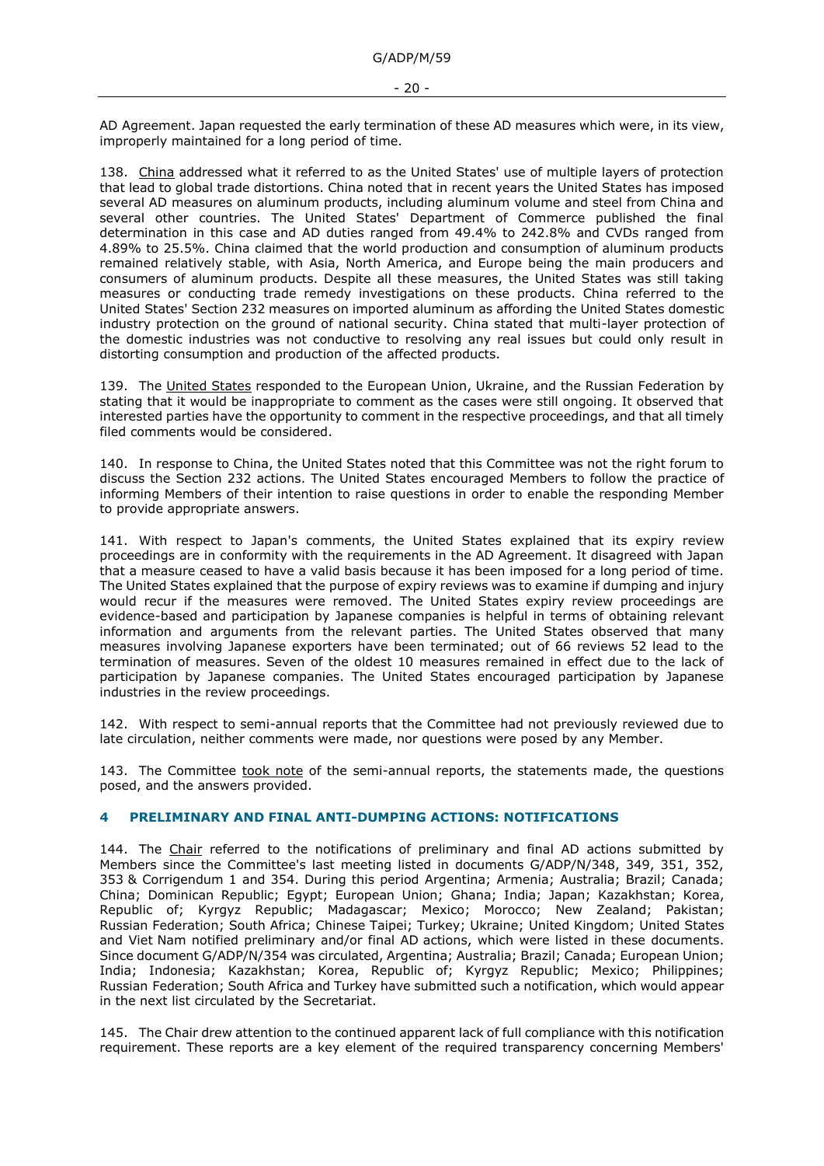AD Agreement. Japan requested the early termination of these AD measures which were, in its view, improperly maintained for a long period of time.

138. China addressed what it referred to as the United States' use of multiple layers of protection that lead to global trade distortions. China noted that in recent years the United States has imposed several AD measures on aluminum products, including aluminum volume and steel from China and several other countries. The United States' Department of Commerce published the final determination in this case and AD duties ranged from 49.4% to 242.8% and CVDs ranged from 4.89% to 25.5%. China claimed that the world production and consumption of aluminum products remained relatively stable, with Asia, North America, and Europe being the main producers and consumers of aluminum products. Despite all these measures, the United States was still taking measures or conducting trade remedy investigations on these products. China referred to the United States' Section 232 measures on imported aluminum as affording the United States domestic industry protection on the ground of national security. China stated that multi-layer protection of the domestic industries was not conductive to resolving any real issues but could only result in distorting consumption and production of the affected products.

139. The United States responded to the European Union, Ukraine, and the Russian Federation by stating that it would be inappropriate to comment as the cases were still ongoing. It observed that interested parties have the opportunity to comment in the respective proceedings, and that all timely filed comments would be considered.

140. In response to China, the United States noted that this Committee was not the right forum to discuss the Section 232 actions. The United States encouraged Members to follow the practice of informing Members of their intention to raise questions in order to enable the responding Member to provide appropriate answers.

141. With respect to Japan's comments, the United States explained that its expiry review proceedings are in conformity with the requirements in the AD Agreement. It disagreed with Japan that a measure ceased to have a valid basis because it has been imposed for a long period of time. The United States explained that the purpose of expiry reviews was to examine if dumping and injury would recur if the measures were removed. The United States expiry review proceedings are evidence-based and participation by Japanese companies is helpful in terms of obtaining relevant information and arguments from the relevant parties. The United States observed that many measures involving Japanese exporters have been terminated; out of 66 reviews 52 lead to the termination of measures. Seven of the oldest 10 measures remained in effect due to the lack of participation by Japanese companies. The United States encouraged participation by Japanese industries in the review proceedings.

142. With respect to semi-annual reports that the Committee had not previously reviewed due to late circulation, neither comments were made, nor questions were posed by any Member.

143. The Committee took note of the semi-annual reports, the statements made, the questions posed, and the answers provided.

### <span id="page-19-0"></span>**4 PRELIMINARY AND FINAL ANTI-DUMPING ACTIONS: NOTIFICATIONS**

144. The Chair referred to the notifications of preliminary and final AD actions submitted by Members since the Committee's last meeting listed in documents G/ADP/N/348, 349, 351, 352, 353 & Corrigendum 1 and 354. During this period Argentina; Armenia; Australia; Brazil; Canada; China; Dominican Republic; Egypt; European Union; Ghana; India; Japan; Kazakhstan; Korea, Republic of; Kyrgyz Republic; Madagascar; Mexico; Morocco; New Zealand; Pakistan; Russian Federation; South Africa; Chinese Taipei; Turkey; Ukraine; United Kingdom; United States and Viet Nam notified preliminary and/or final AD actions, which were listed in these documents. Since document G/ADP/N/354 was circulated, Argentina; Australia; Brazil; Canada; European Union; India; Indonesia; Kazakhstan; Korea, Republic of; Kyrgyz Republic; Mexico; Philippines; Russian Federation; South Africa and Turkey have submitted such a notification, which would appear in the next list circulated by the Secretariat.

145. The Chair drew attention to the continued apparent lack of full compliance with this notification requirement. These reports are a key element of the required transparency concerning Members'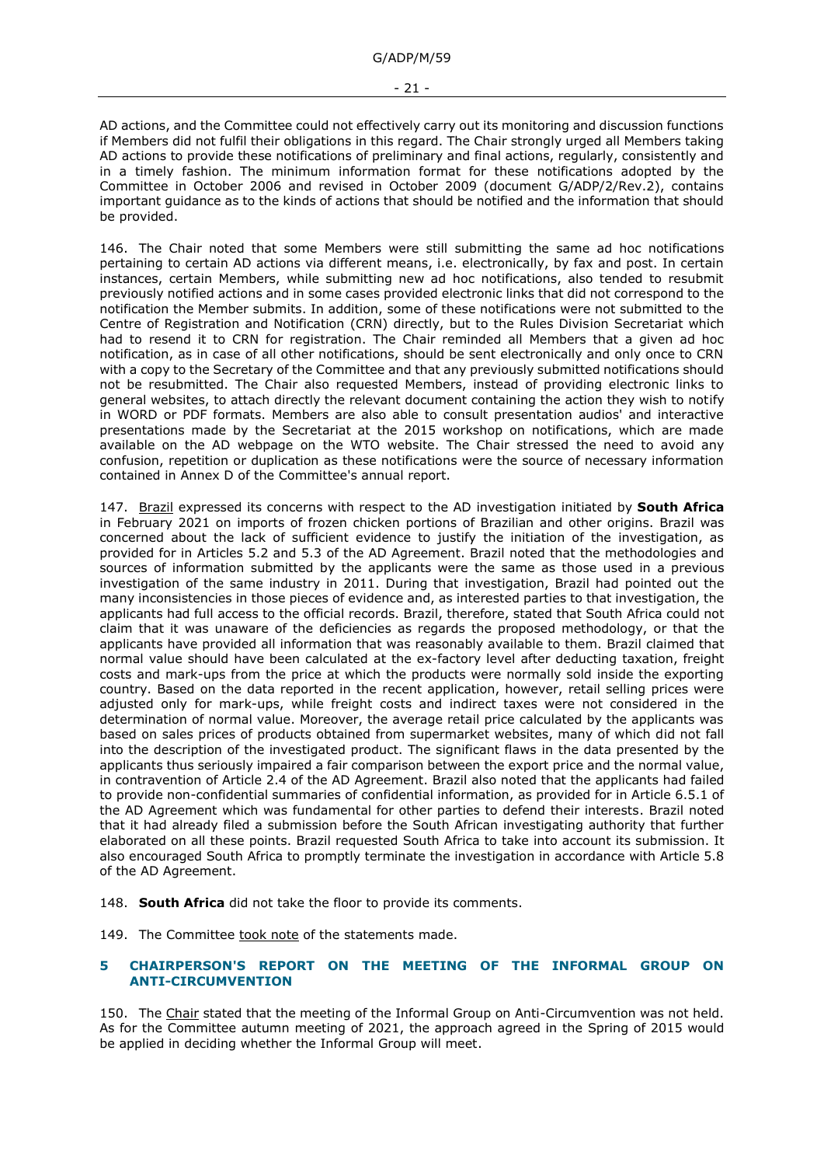AD actions, and the Committee could not effectively carry out its monitoring and discussion functions if Members did not fulfil their obligations in this regard. The Chair strongly urged all Members taking AD actions to provide these notifications of preliminary and final actions, regularly, consistently and in a timely fashion. The minimum information format for these notifications adopted by the Committee in October 2006 and revised in October 2009 (document G/ADP/2/Rev.2), contains important guidance as to the kinds of actions that should be notified and the information that should be provided.

146. The Chair noted that some Members were still submitting the same ad hoc notifications pertaining to certain AD actions via different means, i.e. electronically, by fax and post. In certain instances, certain Members, while submitting new ad hoc notifications, also tended to resubmit previously notified actions and in some cases provided electronic links that did not correspond to the notification the Member submits. In addition, some of these notifications were not submitted to the Centre of Registration and Notification (CRN) directly, but to the Rules Division Secretariat which had to resend it to CRN for registration. The Chair reminded all Members that a given ad hoc notification, as in case of all other notifications, should be sent electronically and only once to CRN with a copy to the Secretary of the Committee and that any previously submitted notifications should not be resubmitted. The Chair also requested Members, instead of providing electronic links to general websites, to attach directly the relevant document containing the action they wish to notify in WORD or PDF formats. Members are also able to consult presentation audios' and interactive presentations made by the Secretariat at the 2015 workshop on notifications, which are made available on the AD webpage on the WTO website. The Chair stressed the need to avoid any confusion, repetition or duplication as these notifications were the source of necessary information contained in Annex D of the Committee's annual report.

147. Brazil expressed its concerns with respect to the AD investigation initiated by **South Africa** in February 2021 on imports of frozen chicken portions of Brazilian and other origins. Brazil was concerned about the lack of sufficient evidence to justify the initiation of the investigation, as provided for in Articles 5.2 and 5.3 of the AD Agreement. Brazil noted that the methodologies and sources of information submitted by the applicants were the same as those used in a previous investigation of the same industry in 2011. During that investigation, Brazil had pointed out the many inconsistencies in those pieces of evidence and, as interested parties to that investigation, the applicants had full access to the official records. Brazil, therefore, stated that South Africa could not claim that it was unaware of the deficiencies as regards the proposed methodology, or that the applicants have provided all information that was reasonably available to them. Brazil claimed that normal value should have been calculated at the ex-factory level after deducting taxation, freight costs and mark-ups from the price at which the products were normally sold inside the exporting country. Based on the data reported in the recent application, however, retail selling prices were adjusted only for mark-ups, while freight costs and indirect taxes were not considered in the determination of normal value. Moreover, the average retail price calculated by the applicants was based on sales prices of products obtained from supermarket websites, many of which did not fall into the description of the investigated product. The significant flaws in the data presented by the applicants thus seriously impaired a fair comparison between the export price and the normal value, in contravention of Article 2.4 of the AD Agreement. Brazil also noted that the applicants had failed to provide non-confidential summaries of confidential information, as provided for in Article 6.5.1 of the AD Agreement which was fundamental for other parties to defend their interests. Brazil noted that it had already filed a submission before the South African investigating authority that further elaborated on all these points. Brazil requested South Africa to take into account its submission. It also encouraged South Africa to promptly terminate the investigation in accordance with Article 5.8 of the AD Agreement.

148. **South Africa** did not take the floor to provide its comments.

149. The Committee took note of the statements made.

## <span id="page-20-0"></span>**5 CHAIRPERSON'S REPORT ON THE MEETING OF THE INFORMAL GROUP ON ANTI-CIRCUMVENTION**

150. The Chair stated that the meeting of the Informal Group on Anti-Circumvention was not held. As for the Committee autumn meeting of 2021, the approach agreed in the Spring of 2015 would be applied in deciding whether the Informal Group will meet.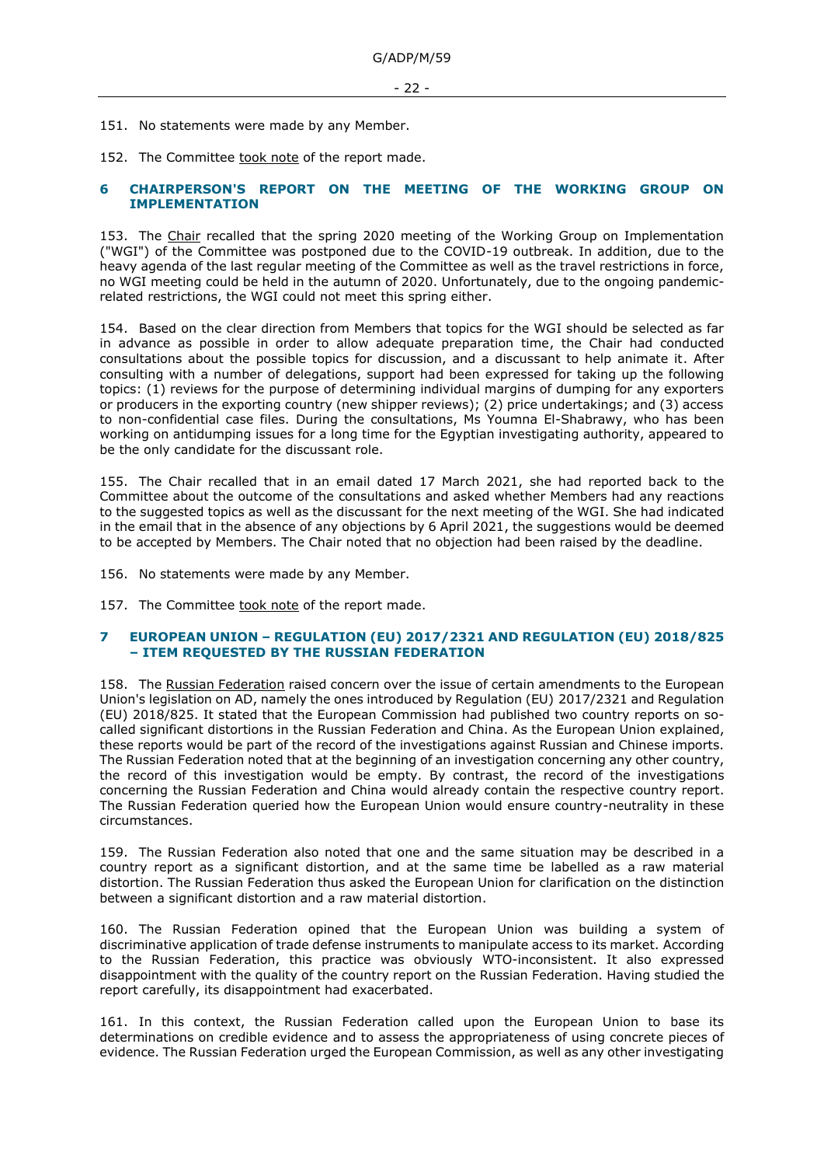151. No statements were made by any Member.

152. The Committee took note of the report made.

#### <span id="page-21-0"></span>**6 CHAIRPERSON'S REPORT ON THE MEETING OF THE WORKING GROUP ON IMPLEMENTATION**

153. The Chair recalled that the spring 2020 meeting of the Working Group on Implementation ("WGI") of the Committee was postponed due to the COVID-19 outbreak. In addition, due to the heavy agenda of the last regular meeting of the Committee as well as the travel restrictions in force, no WGI meeting could be held in the autumn of 2020. Unfortunately, due to the ongoing pandemicrelated restrictions, the WGI could not meet this spring either.

154. Based on the clear direction from Members that topics for the WGI should be selected as far in advance as possible in order to allow adequate preparation time, the Chair had conducted consultations about the possible topics for discussion, and a discussant to help animate it. After consulting with a number of delegations, support had been expressed for taking up the following topics: (1) reviews for the purpose of determining individual margins of dumping for any exporters or producers in the exporting country (new shipper reviews); (2) price undertakings; and (3) access to non-confidential case files. During the consultations, Ms Youmna El-Shabrawy, who has been working on antidumping issues for a long time for the Egyptian investigating authority, appeared to be the only candidate for the discussant role.

155. The Chair recalled that in an email dated 17 March 2021, she had reported back to the Committee about the outcome of the consultations and asked whether Members had any reactions to the suggested topics as well as the discussant for the next meeting of the WGI. She had indicated in the email that in the absence of any objections by 6 April 2021, the suggestions would be deemed to be accepted by Members. The Chair noted that no objection had been raised by the deadline.

156. No statements were made by any Member.

157. The Committee took note of the report made.

### <span id="page-21-1"></span>**7 EUROPEAN UNION – REGULATION (EU) 2017/2321 AND REGULATION (EU) 2018/825 – ITEM REQUESTED BY THE RUSSIAN FEDERATION**

158. The Russian Federation raised concern over the issue of certain amendments to the European Union's legislation on AD, namely the ones introduced by Regulation (EU) 2017/2321 and Regulation (EU) 2018/825. It stated that the European Commission had published two country reports on socalled significant distortions in the Russian Federation and China. As the European Union explained, these reports would be part of the record of the investigations against Russian and Chinese imports. The Russian Federation noted that at the beginning of an investigation concerning any other country, the record of this investigation would be empty. By contrast, the record of the investigations concerning the Russian Federation and China would already contain the respective country report. The Russian Federation queried how the European Union would ensure country-neutrality in these circumstances.

159. The Russian Federation also noted that one and the same situation may be described in a country report as a significant distortion, and at the same time be labelled as a raw material distortion. The Russian Federation thus asked the European Union for clarification on the distinction between a significant distortion and a raw material distortion.

160. The Russian Federation opined that the European Union was building a system of discriminative application of trade defense instruments to manipulate access to its market. According to the Russian Federation, this practice was obviously WTO-inconsistent. It also expressed disappointment with the quality of the country report on the Russian Federation. Having studied the report carefully, its disappointment had exacerbated.

161. In this context, the Russian Federation called upon the European Union to base its determinations on credible evidence and to assess the appropriateness of using concrete pieces of evidence. The Russian Federation urged the European Commission, as well as any other investigating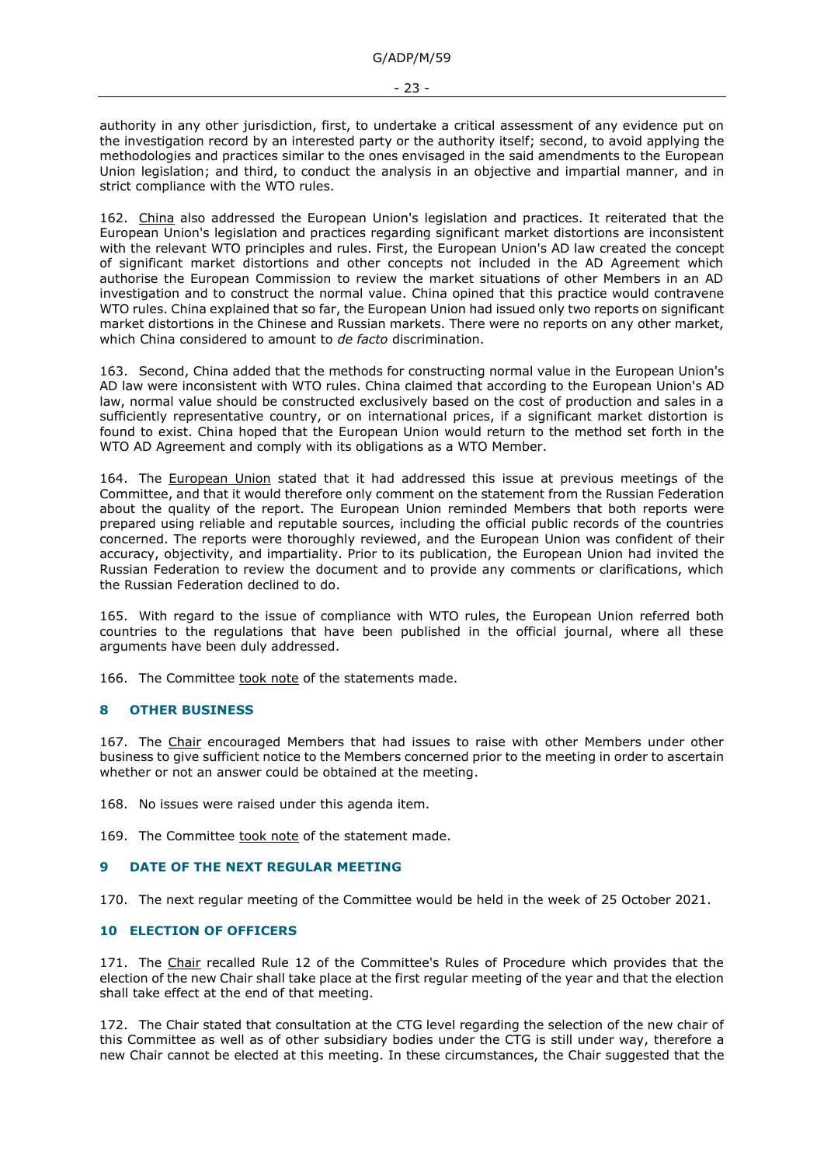authority in any other jurisdiction, first, to undertake a critical assessment of any evidence put on the investigation record by an interested party or the authority itself; second, to avoid applying the methodologies and practices similar to the ones envisaged in the said amendments to the European Union legislation; and third, to conduct the analysis in an objective and impartial manner, and in strict compliance with the WTO rules.

162. China also addressed the European Union's legislation and practices. It reiterated that the European Union's legislation and practices regarding significant market distortions are inconsistent with the relevant WTO principles and rules. First, the European Union's AD law created the concept of significant market distortions and other concepts not included in the AD Agreement which authorise the European Commission to review the market situations of other Members in an AD investigation and to construct the normal value. China opined that this practice would contravene WTO rules. China explained that so far, the European Union had issued only two reports on significant market distortions in the Chinese and Russian markets. There were no reports on any other market, which China considered to amount to *de facto* discrimination.

163. Second, China added that the methods for constructing normal value in the European Union's AD law were inconsistent with WTO rules. China claimed that according to the European Union's AD law, normal value should be constructed exclusively based on the cost of production and sales in a sufficiently representative country, or on international prices, if a significant market distortion is found to exist. China hoped that the European Union would return to the method set forth in the WTO AD Agreement and comply with its obligations as a WTO Member.

164. The European Union stated that it had addressed this issue at previous meetings of the Committee, and that it would therefore only comment on the statement from the Russian Federation about the quality of the report. The European Union reminded Members that both reports were prepared using reliable and reputable sources, including the official public records of the countries concerned. The reports were thoroughly reviewed, and the European Union was confident of their accuracy, objectivity, and impartiality. Prior to its publication, the European Union had invited the Russian Federation to review the document and to provide any comments or clarifications, which the Russian Federation declined to do.

165. With regard to the issue of compliance with WTO rules, the European Union referred both countries to the regulations that have been published in the official journal, where all these arguments have been duly addressed.

166. The Committee took note of the statements made.

### <span id="page-22-0"></span>**8 OTHER BUSINESS**

167. The Chair encouraged Members that had issues to raise with other Members under other business to give sufficient notice to the Members concerned prior to the meeting in order to ascertain whether or not an answer could be obtained at the meeting.

168. No issues were raised under this agenda item.

169. The Committee took note of the statement made.

### <span id="page-22-1"></span>**9 DATE OF THE NEXT REGULAR MEETING**

170. The next regular meeting of the Committee would be held in the week of 25 October 2021.

### <span id="page-22-2"></span>**10 ELECTION OF OFFICERS**

171. The Chair recalled Rule 12 of the Committee's Rules of Procedure which provides that the election of the new Chair shall take place at the first regular meeting of the year and that the election shall take effect at the end of that meeting.

172. The Chair stated that consultation at the CTG level regarding the selection of the new chair of this Committee as well as of other subsidiary bodies under the CTG is still under way, therefore a new Chair cannot be elected at this meeting. In these circumstances, the Chair suggested that the